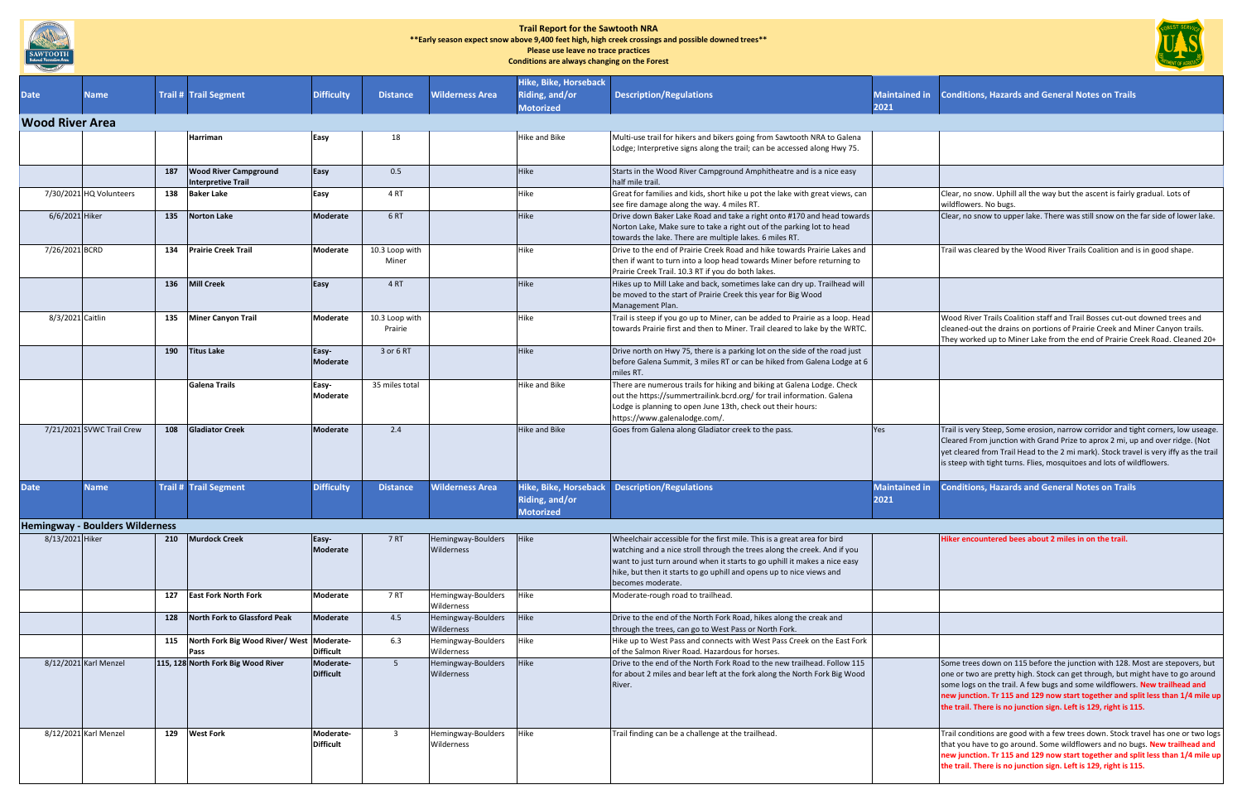| ed in | <b>Conditions, Hazards and General Notes on Trails</b>                                                                                                                                                                                                                                                                               |
|-------|--------------------------------------------------------------------------------------------------------------------------------------------------------------------------------------------------------------------------------------------------------------------------------------------------------------------------------------|
|       |                                                                                                                                                                                                                                                                                                                                      |
|       |                                                                                                                                                                                                                                                                                                                                      |
|       |                                                                                                                                                                                                                                                                                                                                      |
|       | Clear, no snow. Uphill all the way but the ascent is fairly gradual. Lots of<br>wildflowers. No bugs.                                                                                                                                                                                                                                |
|       | Clear, no snow to upper lake. There was still snow on the far side of lower lake.                                                                                                                                                                                                                                                    |
|       | Trail was cleared by the Wood River Trails Coalition and is in good shape.                                                                                                                                                                                                                                                           |
|       |                                                                                                                                                                                                                                                                                                                                      |
|       | Wood River Trails Coalition staff and Trail Bosses cut-out downed trees and<br>cleaned-out the drains on portions of Prairie Creek and Miner Canyon trails.<br>They worked up to Miner Lake from the end of Prairie Creek Road. Cleaned 20+                                                                                          |
|       |                                                                                                                                                                                                                                                                                                                                      |
|       |                                                                                                                                                                                                                                                                                                                                      |
|       | Trail is very Steep, Some erosion, narrow corridor and tight corners, low useage.<br>Cleared From junction with Grand Prize to aprox 2 mi, up and over ridge. (Not<br>yet cleared from Trail Head to the 2 mi mark). Stock travel is very iffy as the trail<br>is steep with tight turns. Flies, mosquitoes and lots of wildflowers. |
| ed in | <b>Conditions, Hazards and General Notes on Trails</b>                                                                                                                                                                                                                                                                               |
|       | Hiker encountered bees about 2 miles in on the trail.                                                                                                                                                                                                                                                                                |

|                        |                                        |     |                                                           |                               |                           |                                  | <b>Hike, Bike, Horseback</b>                                       |                                                                                                                                                                                                                                                                                                                               |                              |                                                                                                                                                                                                                                                                                                                                                                                                     |
|------------------------|----------------------------------------|-----|-----------------------------------------------------------|-------------------------------|---------------------------|----------------------------------|--------------------------------------------------------------------|-------------------------------------------------------------------------------------------------------------------------------------------------------------------------------------------------------------------------------------------------------------------------------------------------------------------------------|------------------------------|-----------------------------------------------------------------------------------------------------------------------------------------------------------------------------------------------------------------------------------------------------------------------------------------------------------------------------------------------------------------------------------------------------|
| <b>Date</b>            | <b>Name</b>                            |     | <b>Trail # Trail Segment</b>                              | <b>Difficulty</b>             | <b>Distance</b>           | <b>Wilderness Area</b>           | Riding, and/or                                                     | <b>Description/Regulations</b>                                                                                                                                                                                                                                                                                                | <b>Maintained in</b>         | <b>Conditions, Hazards and General Notes on Trails</b>                                                                                                                                                                                                                                                                                                                                              |
|                        |                                        |     |                                                           |                               |                           |                                  | <b>Motorized</b>                                                   |                                                                                                                                                                                                                                                                                                                               | 2021                         |                                                                                                                                                                                                                                                                                                                                                                                                     |
| <b>Wood River Area</b> |                                        |     |                                                           |                               |                           |                                  |                                                                    |                                                                                                                                                                                                                                                                                                                               |                              |                                                                                                                                                                                                                                                                                                                                                                                                     |
|                        |                                        |     | Harriman                                                  | Easy                          | 18                        |                                  | Hike and Bike                                                      | Multi-use trail for hikers and bikers going from Sawtooth NRA to Galena                                                                                                                                                                                                                                                       |                              |                                                                                                                                                                                                                                                                                                                                                                                                     |
|                        |                                        |     |                                                           |                               |                           |                                  |                                                                    | Lodge; Interpretive signs along the trail; can be accessed along Hwy 75.                                                                                                                                                                                                                                                      |                              |                                                                                                                                                                                                                                                                                                                                                                                                     |
|                        |                                        | 187 | <b>Wood River Campground</b><br><b>Interpretive Trail</b> | Easy                          | 0.5                       |                                  | <b>Hike</b>                                                        | Starts in the Wood River Campground Amphitheatre and is a nice easy<br>half mile trail.                                                                                                                                                                                                                                       |                              |                                                                                                                                                                                                                                                                                                                                                                                                     |
|                        | 7/30/2021 HQ Volunteers                | 138 | <b>Baker Lake</b>                                         | Easy                          | 4RT                       |                                  | Hike                                                               | Great for families and kids, short hike u pot the lake with great views, can<br>see fire damage along the way. 4 miles RT.                                                                                                                                                                                                    |                              | Clear, no snow. Uphill all the way but the ascent is fairly gradual. Lots of<br>wildflowers. No bugs.                                                                                                                                                                                                                                                                                               |
| 6/6/2021 Hiker         |                                        | 135 | <b>Norton Lake</b>                                        | Moderate                      | 6 RT                      |                                  | Hike                                                               | Drive down Baker Lake Road and take a right onto #170 and head towards<br>Norton Lake, Make sure to take a right out of the parking lot to head<br>towards the lake. There are multiple lakes. 6 miles RT.                                                                                                                    |                              | Clear, no snow to upper lake. There was still snow on the far side of lower lake.                                                                                                                                                                                                                                                                                                                   |
| 7/26/2021 BCRD         |                                        |     | 134 Prairie Creek Trail                                   | <b>Moderate</b>               | 10.3 Loop with<br>Miner   |                                  | Hike                                                               | Drive to the end of Prairie Creek Road and hike towards Prairie Lakes and<br>then if want to turn into a loop head towards Miner before returning to<br>Prairie Creek Trail. 10.3 RT if you do both lakes.                                                                                                                    |                              | Trail was cleared by the Wood River Trails Coalition and is in good shape.                                                                                                                                                                                                                                                                                                                          |
|                        |                                        |     | 136 Mill Creek                                            | Easy                          | 4 RT                      |                                  | Hike                                                               | Hikes up to Mill Lake and back, sometimes lake can dry up. Trailhead will<br>be moved to the start of Prairie Creek this year for Big Wood<br>Management Plan.                                                                                                                                                                |                              |                                                                                                                                                                                                                                                                                                                                                                                                     |
| 8/3/2021 Caitlin       |                                        |     | 135 Miner Canyon Trail                                    | Moderate                      | 10.3 Loop with<br>Prairie |                                  | Hike                                                               | Trail is steep if you go up to Miner, can be added to Prairie as a loop. Head<br>towards Prairie first and then to Miner. Trail cleared to lake by the WRTC.                                                                                                                                                                  |                              | Wood River Trails Coalition staff and Trail Bosses cut-out downed trees and<br>cleaned-out the drains on portions of Prairie Creek and Miner Canyon trails.<br>They worked up to Miner Lake from the end of Prairie Creek Road. Cleaned 20+                                                                                                                                                         |
|                        |                                        | 190 | Titus Lake                                                | Easy-<br>Moderate             | 3 or 6 RT                 |                                  | <b>Hike</b>                                                        | Drive north on Hwy 75, there is a parking lot on the side of the road just<br>before Galena Summit, 3 miles RT or can be hiked from Galena Lodge at 6<br>miles RT.                                                                                                                                                            |                              |                                                                                                                                                                                                                                                                                                                                                                                                     |
|                        |                                        |     | <b>Galena Trails</b>                                      | Easy-<br>Moderate             | 35 miles total            |                                  | <b>Hike and Bike</b>                                               | There are numerous trails for hiking and biking at Galena Lodge. Check<br>out the https://summertrailink.bcrd.org/ for trail information. Galena<br>Lodge is planning to open June 13th, check out their hours:<br>https://www.galenalodge.com/.                                                                              |                              |                                                                                                                                                                                                                                                                                                                                                                                                     |
|                        | 7/21/2021 SVWC Trail Crew              | 108 | <b>Gladiator Creek</b>                                    | Moderate                      | 2.4                       |                                  | <b>Hike and Bike</b>                                               | Goes from Galena along Gladiator creek to the pass.                                                                                                                                                                                                                                                                           | Yes                          | Trail is very Steep, Some erosion, narrow corridor and tight corners, low useage.<br>Cleared From junction with Grand Prize to aprox 2 mi, up and over ridge. (Not<br>yet cleared from Trail Head to the 2 mi mark). Stock travel is very iffy as the trail<br>is steep with tight turns. Flies, mosquitoes and lots of wildflowers.                                                                |
| <b>Date</b>            | Name                                   |     | <b>Trail # Trail Segment</b>                              | <b>Difficulty</b>             | <b>Distance</b>           | <b>Wilderness Area</b>           | <b>Hike, Bike, Horseback</b><br>Riding, and/or<br><b>Motorized</b> | <b>Description/Regulations</b>                                                                                                                                                                                                                                                                                                | <b>Maintained in</b><br>2021 | <b>Conditions, Hazards and General Notes on Trails</b>                                                                                                                                                                                                                                                                                                                                              |
|                        | <b>Hemingway - Boulders Wilderness</b> |     |                                                           |                               |                           |                                  |                                                                    |                                                                                                                                                                                                                                                                                                                               |                              |                                                                                                                                                                                                                                                                                                                                                                                                     |
| 8/13/2021 Hiker        |                                        |     | 210 Murdock Creek                                         | Easy-<br>Moderate             | 7RT                       | Hemingway-Boulders<br>Wilderness | Hike                                                               | Wheelchair accessible for the first mile. This is a great area for bird<br>watching and a nice stroll through the trees along the creek. And if you<br>want to just turn around when it starts to go uphill it makes a nice easy<br>hike, but then it starts to go uphill and opens up to nice views and<br>becomes moderate. |                              | Hiker encountered bees about 2 miles in on the trail.                                                                                                                                                                                                                                                                                                                                               |
|                        |                                        |     | 127 East Fork North Fork                                  | Moderate                      | 7 RT                      | Hemingway-Boulders<br>Wilderness | Hike                                                               | Moderate-rough road to trailhead.                                                                                                                                                                                                                                                                                             |                              |                                                                                                                                                                                                                                                                                                                                                                                                     |
|                        |                                        | 128 | North Fork to Glassford Peak                              | Moderate                      | 4.5                       | Hemingway-Boulders<br>Wilderness | Hike                                                               | Drive to the end of the North Fork Road, hikes along the creak and<br>through the trees, can go to West Pass or North Fork.                                                                                                                                                                                                   |                              |                                                                                                                                                                                                                                                                                                                                                                                                     |
|                        |                                        | 115 | North Fork Big Wood River/ West Moderate-<br>Pass         | <b>Difficult</b>              | 6.3                       | Hemingway-Boulders<br>Wilderness | Hike                                                               | Hike up to West Pass and connects with West Pass Creek on the East Fork<br>of the Salmon River Road. Hazardous for horses.                                                                                                                                                                                                    |                              |                                                                                                                                                                                                                                                                                                                                                                                                     |
|                        | 8/12/2021 Karl Menzel                  |     | 115, 128 North Fork Big Wood River                        | Moderate-<br><b>Difficult</b> | 5 <sup>5</sup>            | Hemingway-Boulders<br>Wilderness | Hike                                                               | Drive to the end of the North Fork Road to the new trailhead. Follow 115<br>for about 2 miles and bear left at the fork along the North Fork Big Wood<br>River.                                                                                                                                                               |                              | Some trees down on 115 before the junction with 128. Most are stepovers, but<br>one or two are pretty high. Stock can get through, but might have to go around<br>some logs on the trail. A few bugs and some wildflowers. New trailhead and<br>new junction. Tr 115 and 129 now start together and split less than 1/4 mile up<br>the trail. There is no junction sign. Left is 129, right is 115. |
|                        | 8/12/2021 Karl Menzel                  | 129 | <b>West Fork</b>                                          | Moderate-<br><b>Difficult</b> | - 3                       | Hemingway-Boulders<br>Wilderness | Hike                                                               | Trail finding can be a challenge at the trailhead.                                                                                                                                                                                                                                                                            |                              | Trail conditions are good with a few trees down. Stock travel has one or two logs<br>that you have to go around. Some wildflowers and no bugs. New trailhead and<br>new junction. Tr 115 and 129 now start together and split less than 1/4 mile up<br>the trail. There is no junction sign. Left is 129, right is 115.                                                                             |





## **Trail Report for the Sawtooth NRA**

**\*\*Early season expect snow above 9,400 feet high, high creek crossings and possible downed trees\*\***

 **Please use leave no trace practices Conditions are always changing on the Forest**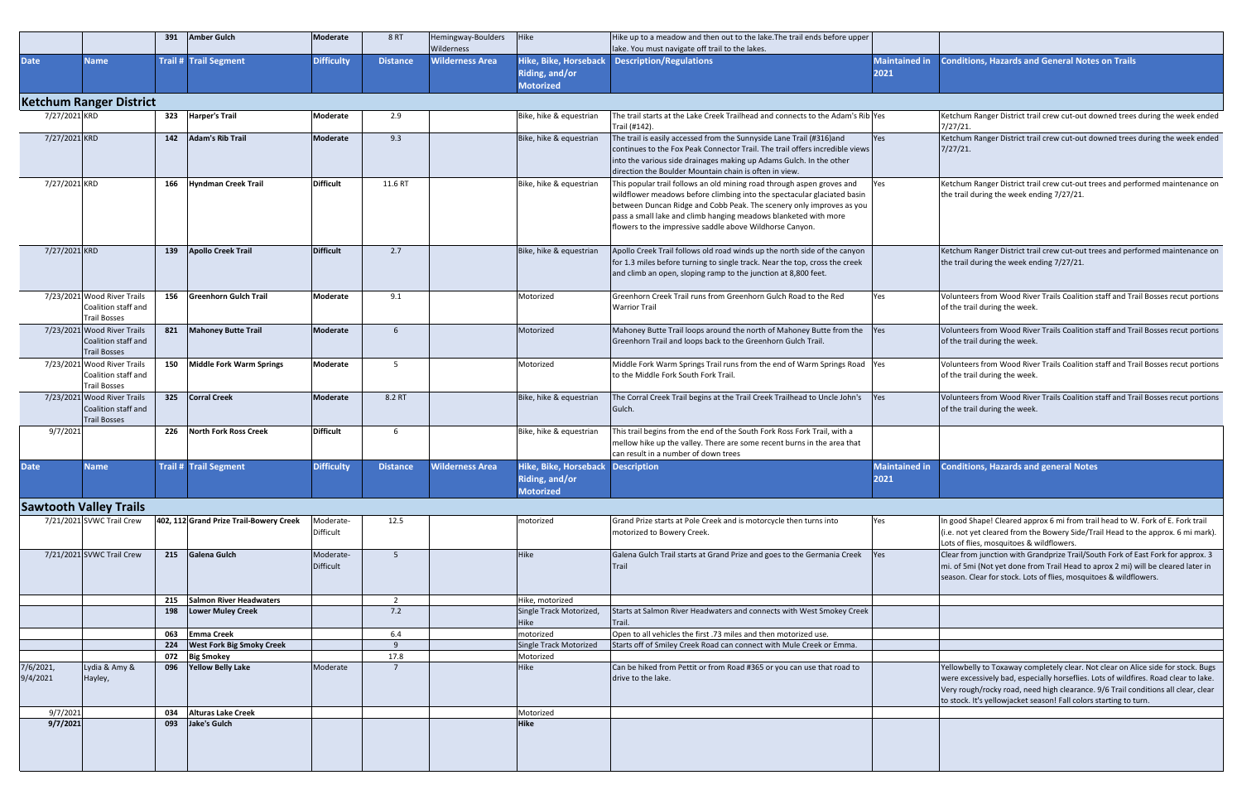|                       |                                                                           | 391 | <b>Amber Gulch</b>                      | <b>Moderate</b>               | 8RT             | Hemingway-Boulders<br>Wilderness | Hike                                                               | Hike up to a meadow and then out to the lake. The trail ends before upper<br>lake. You must navigate off trail to the lakes.                                                                                                                                                                                                                             |                              |
|-----------------------|---------------------------------------------------------------------------|-----|-----------------------------------------|-------------------------------|-----------------|----------------------------------|--------------------------------------------------------------------|----------------------------------------------------------------------------------------------------------------------------------------------------------------------------------------------------------------------------------------------------------------------------------------------------------------------------------------------------------|------------------------------|
| <b>Date</b>           | Name                                                                      |     | <b>Trail # Trail Segment</b>            | <b>Difficulty</b>             | <b>Distance</b> | <b>Wilderness Area</b>           | <b>Hike, Bike, Horseback</b><br>Riding, and/or<br><b>Motorized</b> | <b>Description/Regulations</b>                                                                                                                                                                                                                                                                                                                           | <b>Maintained in</b><br>2021 |
|                       | <b>Ketchum Ranger District</b>                                            |     |                                         |                               |                 |                                  |                                                                    |                                                                                                                                                                                                                                                                                                                                                          |                              |
| 7/27/2021 KRD         |                                                                           | 323 | <b>Harper's Trail</b>                   | Moderate                      | 2.9             |                                  | Bike, hike & equestrian                                            | The trail starts at the Lake Creek Trailhead and connects to the Adam's Rib Yes<br>Trail (#142).                                                                                                                                                                                                                                                         |                              |
| 7/27/2021 KRD         |                                                                           | 142 | <b>Adam's Rib Trail</b>                 | <b>Moderate</b>               | 9.3             |                                  | Bike, hike & equestrian                                            | The trail is easily accessed from the Sunnyside Lane Trail (#316)and<br>continues to the Fox Peak Connector Trail. The trail offers incredible views<br>into the various side drainages making up Adams Gulch. In the other<br>direction the Boulder Mountain chain is often in view.                                                                    | <b>Yes</b>                   |
| 7/27/2021 KRD         |                                                                           | 166 | Hyndman Creek Trail                     | <b>Difficult</b>              | 11.6 RT         |                                  | Bike, hike & equestrian                                            | This popular trail follows an old mining road through aspen groves and<br>wildflower meadows before climbing into the spectacular glaciated basin<br>between Duncan Ridge and Cobb Peak. The scenery only improves as you<br>pass a small lake and climb hanging meadows blanketed with more<br>flowers to the impressive saddle above Wildhorse Canyon. | Yes                          |
| 7/27/2021 KRD         |                                                                           | 139 | <b>Apollo Creek Trail</b>               | <b>Difficult</b>              | 2.7             |                                  | Bike, hike & equestrian                                            | Apollo Creek Trail follows old road winds up the north side of the canyon<br>for 1.3 miles before turning to single track. Near the top, cross the creek<br>and climb an open, sloping ramp to the junction at 8,800 feet.                                                                                                                               |                              |
|                       | 7/23/2021 Wood River Trails<br>Coalition staff and<br><b>Trail Bosses</b> | 156 | <b>Greenhorn Gulch Trail</b>            | <b>Moderate</b>               | 9.1             |                                  | Motorized                                                          | Greenhorn Creek Trail runs from Greenhorn Gulch Road to the Red<br><b>Warrior Trail</b>                                                                                                                                                                                                                                                                  | Yes                          |
|                       | 7/23/2021 Wood River Trails<br>Coalition staff and<br><b>Trail Bosses</b> | 821 | <b>Mahoney Butte Trail</b>              | <b>Moderate</b>               | 6               |                                  | Motorized                                                          | Mahoney Butte Trail loops around the north of Mahoney Butte from the<br>Greenhorn Trail and loops back to the Greenhorn Gulch Trail.                                                                                                                                                                                                                     | <b>Yes</b>                   |
|                       | 7/23/2021 Wood River Trails<br>Coalition staff and<br><b>Trail Bosses</b> | 150 | <b>Middle Fork Warm Springs</b>         | <b>Moderate</b>               | 5               |                                  | Motorized                                                          | Middle Fork Warm Springs Trail runs from the end of Warm Springs Road Yes<br>to the Middle Fork South Fork Trail.                                                                                                                                                                                                                                        |                              |
|                       | 7/23/2021 Wood River Trails<br>Coalition staff and<br><b>Trail Bosses</b> | 325 | <b>Corral Creek</b>                     | <b>Moderate</b>               | 8.2 RT          |                                  | Bike, hike & equestrian                                            | The Corral Creek Trail begins at the Trail Creek Trailhead to Uncle John's<br>Gulch.                                                                                                                                                                                                                                                                     | Yes                          |
| 9/7/2021              |                                                                           | 226 | <b>North Fork Ross Creek</b>            | <b>Difficult</b>              | 6               |                                  | Bike, hike & equestrian                                            | This trail begins from the end of the South Fork Ross Fork Trail, with a<br>mellow hike up the valley. There are some recent burns in the area that<br>can result in a number of down trees                                                                                                                                                              |                              |
| <b>Date</b>           | Name                                                                      |     | <b>Trail # Trail Segment</b>            | <b>Difficulty</b>             | <b>Distance</b> | <b>Wilderness Area</b>           | <b>Hike, Bike, Horseback</b><br>Riding, and/or<br><b>Motorized</b> | <b>Description</b>                                                                                                                                                                                                                                                                                                                                       | <b>Maintained in</b><br>2021 |
|                       | <b>Sawtooth Valley Trails</b>                                             |     |                                         |                               |                 |                                  |                                                                    |                                                                                                                                                                                                                                                                                                                                                          |                              |
|                       | 7/21/2021 SVWC Trail Crew                                                 |     | 402, 112 Grand Prize Trail-Bowery Creek | Moderate-<br>Difficult        | 12.5            |                                  | motorized                                                          | Grand Prize starts at Pole Creek and is motorcycle then turns into<br>motorized to Bowery Creek.                                                                                                                                                                                                                                                         | Yes                          |
|                       | 7/21/2021 SVWC Trail Crew                                                 | 215 | Galena Gulch                            | Moderate-<br><b>Difficult</b> | $5^{\circ}$     |                                  | Hike                                                               | Galena Gulch Trail starts at Grand Prize and goes to the Germania Creek<br>Trail                                                                                                                                                                                                                                                                         | Yes                          |
|                       |                                                                           | 215 | <b>Salmon River Headwaters</b>          |                               | $\overline{2}$  |                                  | Hike, motorized                                                    |                                                                                                                                                                                                                                                                                                                                                          |                              |
|                       |                                                                           | 198 | <b>Lower Muley Creek</b>                |                               | 7.2             |                                  | Single Track Motorized,<br>Hike                                    | Starts at Salmon River Headwaters and connects with West Smokey Creek<br>Trail.                                                                                                                                                                                                                                                                          |                              |
|                       |                                                                           | 063 | Emma Creek                              |                               | 6.4             |                                  | motorized                                                          | Open to all vehicles the first .73 miles and then motorized use.                                                                                                                                                                                                                                                                                         |                              |
|                       |                                                                           | 224 | <b>West Fork Big Smoky Creek</b>        |                               | 9               |                                  | Single Track Motorized                                             | Starts off of Smiley Creek Road can connect with Mule Creek or Emma.                                                                                                                                                                                                                                                                                     |                              |
|                       |                                                                           | 072 | <b>Big Smokey</b>                       |                               | 17.8            |                                  | Motorized                                                          |                                                                                                                                                                                                                                                                                                                                                          |                              |
| 7/6/2021,<br>9/4/2021 | Lydia & Amy &<br>Hayley,                                                  | 096 | Yellow Belly Lake                       | Moderate                      | $\overline{7}$  |                                  | Hike                                                               | Can be hiked from Pettit or from Road #365 or you can use that road to<br>drive to the lake.                                                                                                                                                                                                                                                             |                              |
| 9/7/2021              |                                                                           | 034 | <b>Alturas Lake Creek</b>               |                               |                 |                                  | Motorized                                                          |                                                                                                                                                                                                                                                                                                                                                          |                              |
| 9/7/2021              |                                                                           | 093 | Jake's Gulch                            |                               |                 |                                  | <b>Hike</b>                                                        |                                                                                                                                                                                                                                                                                                                                                          |                              |

| <b>Maintained in</b><br>2021 | <b>Conditions, Hazards and General Notes on Trails</b>                                                                                                                                                                                                                                                                            |
|------------------------------|-----------------------------------------------------------------------------------------------------------------------------------------------------------------------------------------------------------------------------------------------------------------------------------------------------------------------------------|
|                              |                                                                                                                                                                                                                                                                                                                                   |
| Yes                          | Ketchum Ranger District trail crew cut-out downed trees during the week ended<br>7/27/21.                                                                                                                                                                                                                                         |
| Yes                          | Ketchum Ranger District trail crew cut-out downed trees during the week ended<br>7/27/21.                                                                                                                                                                                                                                         |
| Yes                          | Ketchum Ranger District trail crew cut-out trees and performed maintenance on<br>the trail during the week ending 7/27/21.                                                                                                                                                                                                        |
|                              | Ketchum Ranger District trail crew cut-out trees and performed maintenance on<br>the trail during the week ending 7/27/21.                                                                                                                                                                                                        |
| Yes                          | Volunteers from Wood River Trails Coalition staff and Trail Bosses recut portions<br>of the trail during the week.                                                                                                                                                                                                                |
| Yes                          | Volunteers from Wood River Trails Coalition staff and Trail Bosses recut portions<br>of the trail during the week.                                                                                                                                                                                                                |
| Yes                          | Volunteers from Wood River Trails Coalition staff and Trail Bosses recut portions<br>of the trail during the week.                                                                                                                                                                                                                |
| Yes                          | Volunteers from Wood River Trails Coalition staff and Trail Bosses recut portions<br>of the trail during the week.                                                                                                                                                                                                                |
|                              |                                                                                                                                                                                                                                                                                                                                   |
| <b>Maintained in</b><br>2021 | <b>Conditions, Hazards and general Notes</b>                                                                                                                                                                                                                                                                                      |
|                              |                                                                                                                                                                                                                                                                                                                                   |
| Yes                          | In good Shape! Cleared approx 6 mi from trail head to W. Fork of E. Fork trail<br>(i.e. not yet cleared from the Bowery Side/Trail Head to the approx. 6 mi mark).<br>Lots of flies, mosquitoes & wildflowers.                                                                                                                    |
| Yes                          | Clear from junction with Grandprize Trail/South Fork of East Fork for approx. 3<br>mi. of 5mi (Not yet done from Trail Head to aprox 2 mi) will be cleared later in<br>season. Clear for stock. Lots of flies, mosquitoes & wildflowers.                                                                                          |
|                              |                                                                                                                                                                                                                                                                                                                                   |
|                              |                                                                                                                                                                                                                                                                                                                                   |
|                              | Yellowbelly to Toxaway completely clear. Not clear on Alice side for stock. Bugs<br>were excessively bad, especially horseflies. Lots of wildfires. Road clear to lake.<br>Very rough/rocky road, need high clearance. 9/6 Trail conditions all clear, clear<br>to stock. It's yellowjacket season! Fall colors starting to turn. |
|                              |                                                                                                                                                                                                                                                                                                                                   |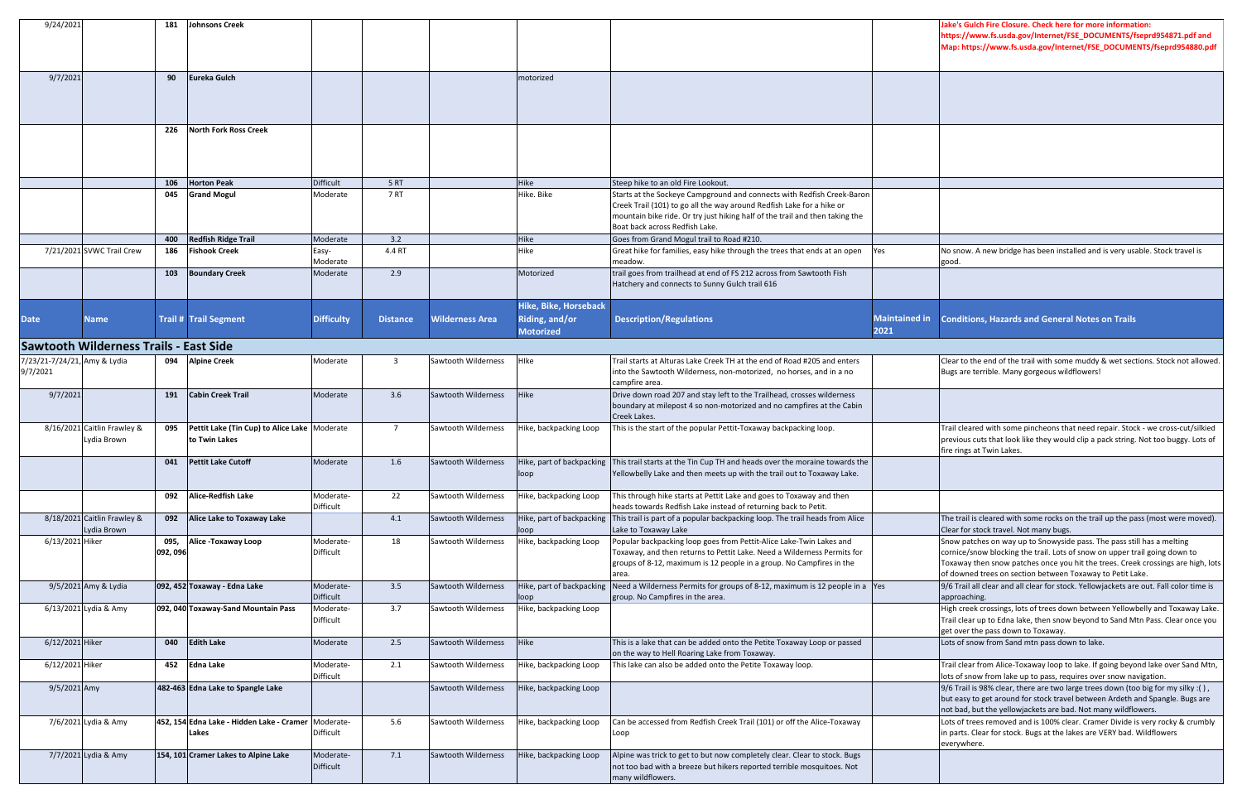|                              | Jake's Gulch Fire Closure. Check here for more information:<br>https://www.fs.usda.gov/Internet/FSE_DOCUMENTS/fseprd954871.pdf and<br>Map: https://www.fs.usda.gov/Internet/FSE_DOCUMENTS/fseprd954880.pdf                                                                                            |
|------------------------------|-------------------------------------------------------------------------------------------------------------------------------------------------------------------------------------------------------------------------------------------------------------------------------------------------------|
|                              |                                                                                                                                                                                                                                                                                                       |
|                              |                                                                                                                                                                                                                                                                                                       |
|                              |                                                                                                                                                                                                                                                                                                       |
| Yes                          | No snow. A new bridge has been installed and is very usable. Stock travel is<br>good.                                                                                                                                                                                                                 |
|                              |                                                                                                                                                                                                                                                                                                       |
| <b>Maintained in</b><br>2021 | <b>Conditions, Hazards and General Notes on Trails</b>                                                                                                                                                                                                                                                |
|                              |                                                                                                                                                                                                                                                                                                       |
|                              | Clear to the end of the trail with some muddy & wet sections. Stock not allowed.<br>Bugs are terrible. Many gorgeous wildflowers!                                                                                                                                                                     |
|                              |                                                                                                                                                                                                                                                                                                       |
|                              | Trail cleared with some pincheons that need repair. Stock - we cross-cut/silkied<br>previous cuts that look like they would clip a pack string. Not too buggy. Lots of<br>fire rings at Twin Lakes.                                                                                                   |
|                              |                                                                                                                                                                                                                                                                                                       |
|                              | The trail is cleared with some rocks on the trail up the pass (most were moved).                                                                                                                                                                                                                      |
|                              | Clear for stock travel. Not many bugs.                                                                                                                                                                                                                                                                |
|                              | Snow patches on way up to Snowyside pass. The pass still has a melting<br>cornice/snow blocking the trail. Lots of snow on upper trail going down to<br>Toxaway then snow patches once you hit the trees. Creek crossings are high, lots<br>of downed trees on section between Toxaway to Petit Lake. |
| Yes                          | 9/6 Trail all clear and all clear for stock. Yellowjackets are out. Fall color time is<br>approaching.                                                                                                                                                                                                |
|                              | High creek crossings, lots of trees down between Yellowbelly and Toxaway Lake.<br>Trail clear up to Edna lake, then snow beyond to Sand Mtn Pass. Clear once you<br>get over the pass down to Toxaway.                                                                                                |
|                              | Lots of snow from Sand mtn pass down to lake.                                                                                                                                                                                                                                                         |
|                              | Trail clear from Alice-Toxaway loop to lake. If going beyond lake over Sand Mtn,<br>lots of snow from lake up to pass, requires over snow navigation.                                                                                                                                                 |
|                              | 9/6 Trail is 98% clear, there are two large trees down (too big for my silky :(),<br>but easy to get around for stock travel between Ardeth and Spangle. Bugs are<br>not bad, but the yellowjackets are bad. Not many wildflowers.                                                                    |
|                              | Lots of trees removed and is 100% clear. Cramer Divide is very rocky & crumbly<br>in parts. Clear for stock. Bugs at the lakes are VERY bad. Wildflowers<br>everywhere.                                                                                                                               |
|                              |                                                                                                                                                                                                                                                                                                       |
|                              |                                                                                                                                                                                                                                                                                                       |

| 9/24/2021                                |                                               | 181              | Johnsons Creek                                                  |                               |                 |                        |                                                             |                                                                                                                                                                                                                                                                   |                       | Jake's Gulch Fire Closure. Check here for more information:<br>https://www.fs.usda.gov/Internet/FSE_DOCUMENTS/fseprd954871.pdf and<br>Map: https://www.fs.usda.gov/Internet/FSE_DOCUMENTS/fseprd954880.pdf                                                                                            |
|------------------------------------------|-----------------------------------------------|------------------|-----------------------------------------------------------------|-------------------------------|-----------------|------------------------|-------------------------------------------------------------|-------------------------------------------------------------------------------------------------------------------------------------------------------------------------------------------------------------------------------------------------------------------|-----------------------|-------------------------------------------------------------------------------------------------------------------------------------------------------------------------------------------------------------------------------------------------------------------------------------------------------|
| 9/7/2021                                 |                                               | 90               | Eureka Gulch                                                    |                               |                 |                        | motorized                                                   |                                                                                                                                                                                                                                                                   |                       |                                                                                                                                                                                                                                                                                                       |
|                                          |                                               |                  |                                                                 |                               |                 |                        |                                                             |                                                                                                                                                                                                                                                                   |                       |                                                                                                                                                                                                                                                                                                       |
|                                          |                                               | 226              | North Fork Ross Creek                                           |                               |                 |                        |                                                             |                                                                                                                                                                                                                                                                   |                       |                                                                                                                                                                                                                                                                                                       |
|                                          |                                               | 106              | <b>Horton Peak</b>                                              | <b>Difficult</b>              | 5RT             |                        | Hike                                                        | Steep hike to an old Fire Lookout.                                                                                                                                                                                                                                |                       |                                                                                                                                                                                                                                                                                                       |
|                                          |                                               | 045              | <b>Grand Mogul</b>                                              | Moderate                      | 7 RT            |                        | Hike. Bike                                                  | Starts at the Sockeye Campground and connects with Redfish Creek-Baron<br>Creek Trail (101) to go all the way around Redfish Lake for a hike or<br>mountain bike ride. Or try just hiking half of the trail and then taking the<br>Boat back across Redfish Lake. |                       |                                                                                                                                                                                                                                                                                                       |
|                                          |                                               | 400              | <b>Redfish Ridge Trail</b>                                      | Moderate                      | 3.2             |                        | Hike                                                        | Goes from Grand Mogul trail to Road #210.                                                                                                                                                                                                                         |                       |                                                                                                                                                                                                                                                                                                       |
|                                          | 7/21/2021 SVWC Trail Crew                     | 186              | <b>Fishook Creek</b>                                            | Easy-<br>Moderate             | 4.4 RT          |                        | Hike                                                        | Great hike for families, easy hike through the trees that ends at an open<br>meadow.                                                                                                                                                                              | Yes                   | No snow. A new bridge has been installed and is very usable. Stock travel is<br>good.                                                                                                                                                                                                                 |
|                                          |                                               | 103              | <b>Boundary Creek</b>                                           | Moderate                      | 2.9             |                        | Motorized                                                   | trail goes from trailhead at end of FS 212 across from Sawtooth Fish<br>Hatchery and connects to Sunny Gulch trail 616                                                                                                                                            |                       |                                                                                                                                                                                                                                                                                                       |
| <b>Date</b>                              | Name                                          |                  | <b>Trail # Trail Segment</b>                                    | <b>Difficulty</b>             | <b>Distance</b> | <b>Wilderness Area</b> | Hike, Bike, Horseback<br>Riding, and/or<br><b>Motorized</b> | <b>Description/Regulations</b>                                                                                                                                                                                                                                    | Maintained in<br>2021 | <b>Conditions, Hazards and General Notes on Trails</b>                                                                                                                                                                                                                                                |
|                                          | <b>Sawtooth Wilderness Trails - East Side</b> |                  |                                                                 |                               |                 |                        |                                                             |                                                                                                                                                                                                                                                                   |                       |                                                                                                                                                                                                                                                                                                       |
| 7/23/21-7/24/21, Amy & Lydia<br>9/7/2021 |                                               | 094              | <b>Alpine Creek</b>                                             | Moderate                      | $\mathbf{3}$    | Sawtooth Wilderness    | <b>H</b> Ike                                                | Trail starts at Alturas Lake Creek TH at the end of Road #205 and enters<br>into the Sawtooth Wilderness, non-motorized, no horses, and in a no<br>campfire area.                                                                                                 |                       | Clear to the end of the trail with some muddy & wet sections. Stock not allowed.<br>Bugs are terrible. Many gorgeous wildflowers!                                                                                                                                                                     |
| 9/7/2021                                 |                                               | 191              | <b>Cabin Creek Trail</b>                                        | Moderate                      | 3.6             | Sawtooth Wilderness    | <b>Hike</b>                                                 | Drive down road 207 and stay left to the Trailhead, crosses wilderness<br>boundary at milepost 4 so non-motorized and no campfires at the Cabin<br>Creek Lakes.                                                                                                   |                       |                                                                                                                                                                                                                                                                                                       |
|                                          | 8/16/2021 Caitlin Frawley &<br>Lydia Brown    | 095              | Pettit Lake (Tin Cup) to Alice Lake   Moderate<br>to Twin Lakes |                               | $\overline{7}$  | Sawtooth Wilderness    | Hike, backpacking Loop                                      | This is the start of the popular Pettit-Toxaway backpacking loop.                                                                                                                                                                                                 |                       | Trail cleared with some pincheons that need repair. Stock - we cross-cut/silkied<br>previous cuts that look like they would clip a pack string. Not too buggy. Lots of<br>fire rings at Twin Lakes.                                                                                                   |
|                                          |                                               | 041              | <b>Pettit Lake Cutoff</b>                                       | Moderate                      | 1.6             | Sawtooth Wilderness    | loop                                                        | Hike, part of backpacking   This trail starts at the Tin Cup TH and heads over the moraine towards the<br>Yellowbelly Lake and then meets up with the trail out to Toxaway Lake.                                                                                  |                       |                                                                                                                                                                                                                                                                                                       |
|                                          |                                               | 092              | <b>Alice-Redfish Lake</b>                                       | Moderate-<br>Difficult        | 22              | Sawtooth Wilderness    | Hike, backpacking Loop                                      | This through hike starts at Pettit Lake and goes to Toxaway and then<br>heads towards Redfish Lake instead of returning back to Petit.                                                                                                                            |                       |                                                                                                                                                                                                                                                                                                       |
|                                          | 8/18/2021 Caitlin Frawley &<br>Lydia Brown    | 092              | Alice Lake to Toxaway Lake                                      |                               | 4.1             | Sawtooth Wilderness    | Hike, part of backpacking<br>loop                           | This trail is part of a popular backpacking loop. The trail heads from Alice<br>Lake to Toxaway Lake                                                                                                                                                              |                       | The trail is cleared with some rocks on the trail up the pass (most were moved).<br>Clear for stock travel. Not many bugs.                                                                                                                                                                            |
| 6/13/2021 Hiker                          |                                               | 095,<br>092, 096 | Alice - Toxaway Loop                                            | Moderate-<br>Difficult        | 18              | Sawtooth Wilderness    | Hike, backpacking Loop                                      | Popular backpacking loop goes from Pettit-Alice Lake-Twin Lakes and<br>Toxaway, and then returns to Pettit Lake. Need a Wilderness Permits for<br>groups of 8-12, maximum is 12 people in a group. No Campfires in the<br>area.                                   |                       | Snow patches on way up to Snowyside pass. The pass still has a melting<br>cornice/snow blocking the trail. Lots of snow on upper trail going down to<br>Toxaway then snow patches once you hit the trees. Creek crossings are high, lots<br>of downed trees on section between Toxaway to Petit Lake. |
|                                          | 9/5/2021 Amy & Lydia                          |                  | 092, 452 Toxaway - Edna Lake                                    | Moderate-<br><b>Difficult</b> | 3.5             | Sawtooth Wilderness    | loop                                                        | Hike, part of backpacking Need a Wilderness Permits for groups of 8-12, maximum is 12 people in a Yes<br>group. No Campfires in the area.                                                                                                                         |                       | 9/6 Trail all clear and all clear for stock. Yellowjackets are out. Fall color time is<br>approaching.                                                                                                                                                                                                |
|                                          | 6/13/2021 Lydia & Amy                         |                  | 092, 040 Toxaway-Sand Mountain Pass                             | Moderate-<br>Difficult        | 3.7             | Sawtooth Wilderness    | Hike, backpacking Loop                                      |                                                                                                                                                                                                                                                                   |                       | High creek crossings, lots of trees down between Yellowbelly and Toxaway Lake.<br>Trail clear up to Edna lake, then snow beyond to Sand Mtn Pass. Clear once you<br>get over the pass down to Toxaway.                                                                                                |
| 6/12/2021 Hiker                          |                                               | 040              | <b>Edith Lake</b>                                               | Moderate                      | 2.5             | Sawtooth Wilderness    | Hike                                                        | This is a lake that can be added onto the Petite Toxaway Loop or passed<br>on the way to Hell Roaring Lake from Toxaway.                                                                                                                                          |                       | Lots of snow from Sand mtn pass down to lake.                                                                                                                                                                                                                                                         |
| 6/12/2021 Hiker                          |                                               | 452              | <b>Edna Lake</b>                                                | Moderate-<br>Difficult        | 2.1             | Sawtooth Wilderness    | Hike, backpacking Loop                                      | This lake can also be added onto the Petite Toxaway loop.                                                                                                                                                                                                         |                       | Trail clear from Alice-Toxaway loop to lake. If going beyond lake over Sand Mtn,<br>lots of snow from lake up to pass, requires over snow navigation.                                                                                                                                                 |
| 9/5/2021 Amy                             |                                               |                  | 482-463 Edna Lake to Spangle Lake                               |                               |                 | Sawtooth Wilderness    | Hike, backpacking Loop                                      |                                                                                                                                                                                                                                                                   |                       | [9/6 Trail is 98% clear, there are two large trees down (too big for my silky :(),<br>but easy to get around for stock travel between Ardeth and Spangle. Bugs are<br>not bad, but the yellowjackets are bad. Not many wildflowers.                                                                   |
|                                          | 7/6/2021 Lydia & Amy                          |                  | 452, 154 Edna Lake - Hidden Lake - Cramer<br>Lakes              | Moderate-<br>Difficult        | 5.6             | Sawtooth Wilderness    | Hike, backpacking Loop                                      | Can be accessed from Redfish Creek Trail (101) or off the Alice-Toxaway<br>Loop                                                                                                                                                                                   |                       | Lots of trees removed and is 100% clear. Cramer Divide is very rocky & crumbly<br>in parts. Clear for stock. Bugs at the lakes are VERY bad. Wildflowers<br>everywhere.                                                                                                                               |
|                                          | 7/7/2021 Lydia & Amy                          |                  | 154, 101 Cramer Lakes to Alpine Lake                            | Moderate-<br>Difficult        | 7.1             | Sawtooth Wilderness    | Hike, backpacking Loop                                      | Alpine was trick to get to but now completely clear. Clear to stock. Bugs<br>not too bad with a breeze but hikers reported terrible mosquitoes. Not<br>many wildflowers.                                                                                          |                       |                                                                                                                                                                                                                                                                                                       |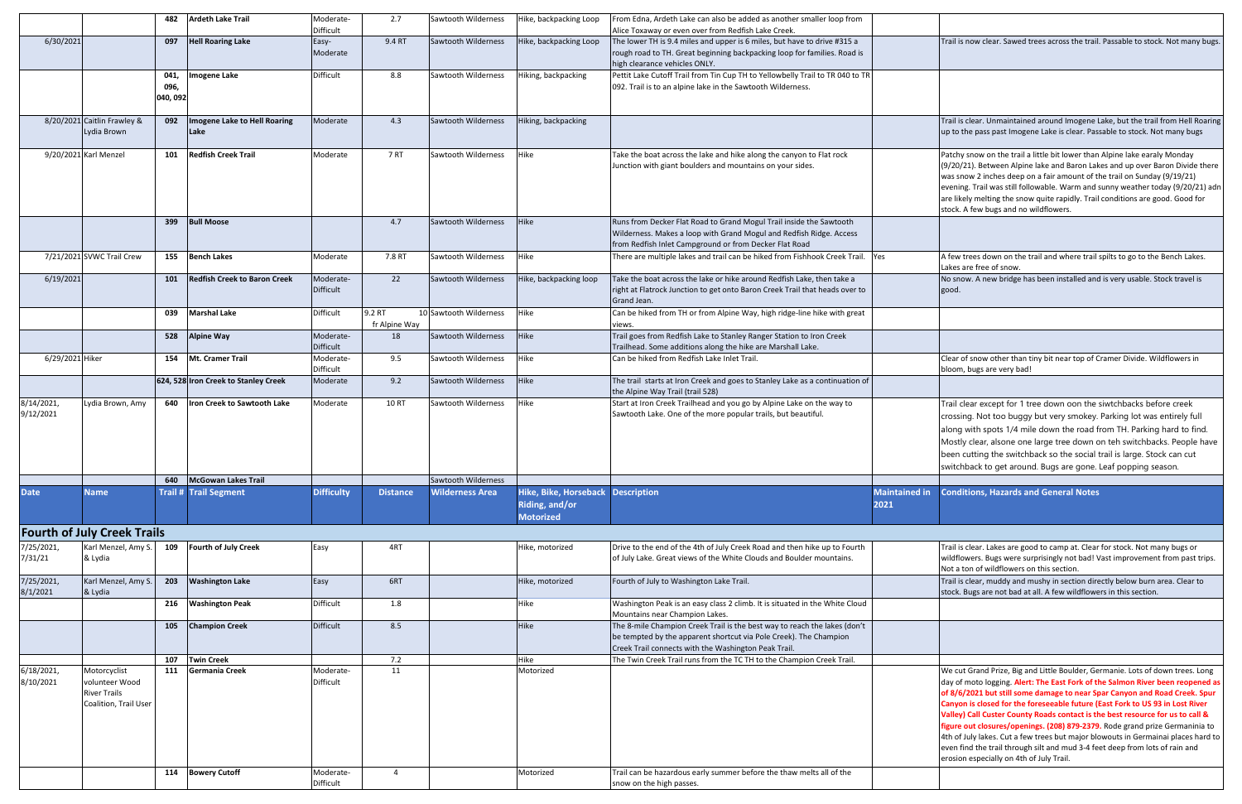|                         |                                                                                | 482                      | <b>Ardeth Lake Trail</b>               | Moderate-<br>Difficult              | 2.7                     | Sawtooth Wilderness    | Hike, backpacking Loop                                             | From Edna, Ardeth Lake can also be added as another smaller loop from<br>Alice Toxaway or even over from Redfish Lake Creek                                                                            |                              |                                                                                                                                                                                                                                                                                                                                                                                                                                                                                                                                                                                                                                                                                                                    |
|-------------------------|--------------------------------------------------------------------------------|--------------------------|----------------------------------------|-------------------------------------|-------------------------|------------------------|--------------------------------------------------------------------|--------------------------------------------------------------------------------------------------------------------------------------------------------------------------------------------------------|------------------------------|--------------------------------------------------------------------------------------------------------------------------------------------------------------------------------------------------------------------------------------------------------------------------------------------------------------------------------------------------------------------------------------------------------------------------------------------------------------------------------------------------------------------------------------------------------------------------------------------------------------------------------------------------------------------------------------------------------------------|
| 6/30/2021               |                                                                                | 097                      | <b>Hell Roaring Lake</b>               | Easy-<br>Moderate                   | 9.4 RT                  | Sawtooth Wilderness    | Hike, backpacking Loop                                             | The lower TH is 9.4 miles and upper is 6 miles, but have to drive #315 a<br>rough road to TH. Great beginning backpacking loop for families. Road is<br>high clearance vehicles ONLY.                  |                              | Trail is now clear. Sawed trees across the trail. Passable to stock. Not many bugs.                                                                                                                                                                                                                                                                                                                                                                                                                                                                                                                                                                                                                                |
|                         |                                                                                | 041,<br>096,<br>040, 092 | mogene Lake                            | <b>Difficult</b>                    | 8.8                     | Sawtooth Wilderness    | Hiking, backpacking                                                | Pettit Lake Cutoff Trail from Tin Cup TH to Yellowbelly Trail to TR 040 to TR<br>092. Trail is to an alpine lake in the Sawtooth Wilderness.                                                           |                              |                                                                                                                                                                                                                                                                                                                                                                                                                                                                                                                                                                                                                                                                                                                    |
|                         | 8/20/2021 Caitlin Frawley &<br>Lydia Brown                                     | 092                      | mogene Lake to Hell Roaring<br>Lake    | Moderate                            | 4.3                     | Sawtooth Wilderness    | Hiking, backpacking                                                |                                                                                                                                                                                                        |                              | Trail is clear. Unmaintained around Imogene Lake, but the trail from Hell Roaring<br>up to the pass past Imogene Lake is clear. Passable to stock. Not many bugs                                                                                                                                                                                                                                                                                                                                                                                                                                                                                                                                                   |
|                         | 9/20/2021 Karl Menzel                                                          | 101                      | <b>Redfish Creek Trail</b>             | Moderate                            | 7 RT                    | Sawtooth Wilderness    | Hike                                                               | Take the boat across the lake and hike along the canyon to Flat rock<br>Junction with giant boulders and mountains on your sides.                                                                      |                              | Patchy snow on the trail a little bit lower than Alpine lake earaly Monday<br>(9/20/21). Between Alpine lake and Baron Lakes and up over Baron Divide there<br>was snow 2 inches deep on a fair amount of the trail on Sunday (9/19/21)<br>evening. Trail was still followable. Warm and sunny weather today (9/20/21) adn<br>are likely melting the snow quite rapidly. Trail conditions are good. Good for<br>stock. A few bugs and no wildflowers.                                                                                                                                                                                                                                                              |
|                         |                                                                                | 399                      | <b>Bull Moose</b>                      |                                     | 4.7                     | Sawtooth Wilderness    | <b>Hike</b>                                                        | Runs from Decker Flat Road to Grand Mogul Trail inside the Sawtooth<br>Wilderness. Makes a loop with Grand Mogul and Redfish Ridge. Access<br>from Redfish Inlet Campground or from Decker Flat Road   |                              |                                                                                                                                                                                                                                                                                                                                                                                                                                                                                                                                                                                                                                                                                                                    |
|                         | 7/21/2021 SVWC Trail Crew                                                      | 155                      | <b>Bench Lakes</b>                     | Moderate                            | 7.8 RT                  | Sawtooth Wilderness    | Hike                                                               | There are multiple lakes and trail can be hiked from Fishhook Creek Trail.   Yes                                                                                                                       |                              | A few trees down on the trail and where trail spilts to go to the Bench Lakes.<br>Lakes are free of snow.                                                                                                                                                                                                                                                                                                                                                                                                                                                                                                                                                                                                          |
| 6/19/2021               |                                                                                | 101                      | Redfish Creek to Baron Creek           | Moderate-<br><b>Difficult</b>       | 22                      | Sawtooth Wilderness    | Hike, backpacking loop                                             | Take the boat across the lake or hike around Redfish Lake, then take a<br>right at Flatrock Junction to get onto Baron Creek Trail that heads over to<br>Grand Jean.                                   |                              | No snow. A new bridge has been installed and is very usable. Stock travel is<br>good.                                                                                                                                                                                                                                                                                                                                                                                                                                                                                                                                                                                                                              |
|                         |                                                                                | 039                      | <b>Marshal Lake</b>                    | Difficult                           | 9.2 RT<br>fr Alpine Way | 10 Sawtooth Wilderness | Hike                                                               | Can be hiked from TH or from Alpine Way, high ridge-line hike with great<br>views.                                                                                                                     |                              |                                                                                                                                                                                                                                                                                                                                                                                                                                                                                                                                                                                                                                                                                                                    |
|                         |                                                                                | 528                      | <b>Alpine Way</b>                      | Moderate-<br><b>Difficult</b>       | 18                      | Sawtooth Wilderness    | Hike                                                               | Trail goes from Redfish Lake to Stanley Ranger Station to Iron Creek<br>Trailhead. Some additions along the hike are Marshall Lake.                                                                    |                              |                                                                                                                                                                                                                                                                                                                                                                                                                                                                                                                                                                                                                                                                                                                    |
| 6/29/2021 Hiker         |                                                                                | 154                      | Mt. Cramer Trail                       | Moderate-<br>Difficult              | 9.5                     | Sawtooth Wilderness    | Hike                                                               | Can be hiked from Redfish Lake Inlet Trail.                                                                                                                                                            |                              | Clear of snow other than tiny bit near top of Cramer Divide. Wildflowers in<br>bloom, bugs are very bad!                                                                                                                                                                                                                                                                                                                                                                                                                                                                                                                                                                                                           |
|                         |                                                                                |                          | 624, 528 Iron Creek to Stanley Creek   | Moderate                            | 9.2                     | Sawtooth Wilderness    | Hike                                                               | The trail starts at Iron Creek and goes to Stanley Lake as a continuation of<br>the Alpine Way Trail (trail 528)                                                                                       |                              |                                                                                                                                                                                                                                                                                                                                                                                                                                                                                                                                                                                                                                                                                                                    |
| 8/14/2021,<br>9/12/2021 | Lydia Brown, Amy                                                               | 640                      | ron Creek to Sawtooth Lake             | Moderate                            | 10RT                    | Sawtooth Wilderness    | <b>Hike</b>                                                        | Start at Iron Creek Trailhead and you go by Alpine Lake on the way to<br>Sawtooth Lake. One of the more popular trails, but beautiful.                                                                 |                              | Trail clear except for 1 tree down oon the siwtchbacks before creek<br>crossing. Not too buggy but very smokey. Parking lot was entirely full<br>along with spots 1/4 mile down the road from TH. Parking hard to find.<br>Mostly clear, alsone one large tree down on teh switchbacks. People have<br>been cutting the switchback so the social trail is large. Stock can cut<br>switchback to get around. Bugs are gone. Leaf popping season.                                                                                                                                                                                                                                                                    |
|                         |                                                                                | 640                      | McGowan Lakes Trail                    |                                     |                         | Sawtooth Wilderness    |                                                                    |                                                                                                                                                                                                        |                              |                                                                                                                                                                                                                                                                                                                                                                                                                                                                                                                                                                                                                                                                                                                    |
| <b>Date</b>             | <b>Name</b>                                                                    |                          | <b>Trail # Trail Segment</b>           | <b>Difficulty</b>                   | <b>Distance</b>         | <b>Wilderness Area</b> | <b>Hike, Bike, Horseback</b><br>Riding, and/or<br><b>Motorized</b> | <b>Description</b>                                                                                                                                                                                     | <b>Maintained in</b><br>2021 | <b>Conditions, Hazards and General Notes</b>                                                                                                                                                                                                                                                                                                                                                                                                                                                                                                                                                                                                                                                                       |
|                         | <b>Fourth of July Creek Trails</b>                                             |                          |                                        |                                     |                         |                        |                                                                    |                                                                                                                                                                                                        |                              |                                                                                                                                                                                                                                                                                                                                                                                                                                                                                                                                                                                                                                                                                                                    |
| 7/25/2021,<br>7/31/21   | Karl Menzel, Amy S.<br>& Lydia                                                 | 109                      | <b>Fourth of July Creek</b>            | Easy                                | 4RT                     |                        | Hike, motorized                                                    | Drive to the end of the 4th of July Creek Road and then hike up to Fourth<br>of July Lake. Great views of the White Clouds and Boulder mountains.                                                      |                              | Trail is clear. Lakes are good to camp at. Clear for stock. Not many bugs or<br>wildflowers. Bugs were surprisingly not bad! Vast improvement from past trips.<br>Not a ton of wildflowers on this section.                                                                                                                                                                                                                                                                                                                                                                                                                                                                                                        |
| 7/25/2021,<br>8/1/2021  | Karl Menzel, Amy S<br>& Lydia                                                  | 203                      | <b>Washington Lake</b>                 | Easy                                | 6RT                     |                        | Hike, motorized                                                    | Fourth of July to Washington Lake Trail.                                                                                                                                                               |                              | Trail is clear, muddy and mushy in section directly below burn area. Clear to<br>stock. Bugs are not bad at all. A few wildflowers in this section.                                                                                                                                                                                                                                                                                                                                                                                                                                                                                                                                                                |
|                         |                                                                                | 216                      | <b>Washington Peak</b>                 | <b>Difficult</b>                    | 1.8                     |                        | Hike                                                               | Washington Peak is an easy class 2 climb. It is situated in the White Cloud<br>Mountains near Champion Lakes.                                                                                          |                              |                                                                                                                                                                                                                                                                                                                                                                                                                                                                                                                                                                                                                                                                                                                    |
|                         |                                                                                | 105                      | <b>Champion Creek</b>                  | <b>Difficult</b>                    | 8.5                     |                        | Hike                                                               | The 8-mile Champion Creek Trail is the best way to reach the lakes (don't<br>be tempted by the apparent shortcut via Pole Creek). The Champion<br>Creek Trail connects with the Washington Peak Trail. |                              |                                                                                                                                                                                                                                                                                                                                                                                                                                                                                                                                                                                                                                                                                                                    |
|                         |                                                                                | 107                      | <b>Twin Creek</b>                      |                                     | 7.2                     |                        | Hike                                                               | The Twin Creek Trail runs from the TC TH to the Champion Creek Trail.                                                                                                                                  |                              |                                                                                                                                                                                                                                                                                                                                                                                                                                                                                                                                                                                                                                                                                                                    |
| 6/18/2021,<br>8/10/2021 | Motorcyclist<br>volunteer Wood<br><b>River Trails</b><br>Coalition, Trail User | 111<br>114               | Germania Creek<br><b>Bowery Cutoff</b> | Moderate-<br>Difficult<br>Moderate- | 11<br>$\overline{4}$    |                        | Motorized<br>Motorized                                             | Trail can be hazardous early summer before the thaw melts all of the                                                                                                                                   |                              | We cut Grand Prize, Big and Little Boulder, Germanie. Lots of down trees. Long<br>day of moto logging. Alert: The East Fork of the Salmon River been reopened as<br>of 8/6/2021 but still some damage to near Spar Canyon and Road Creek. Spur<br>Canyon is closed for the foreseeable future (East Fork to US 93 in Lost River<br>Valley) Call Custer County Roads contact is the best resource for us to call &<br>figure out closures/openings. (208) 879-2379. Rode grand prize Germaninia to<br>4th of July lakes. Cut a few trees but major blowouts in Germainai places hard to<br>even find the trail through silt and mud 3-4 feet deep from lots of rain and<br>erosion especially on 4th of July Trail. |
|                         |                                                                                |                          |                                        | <b>Difficult</b>                    |                         |                        |                                                                    | snow on the high passes.                                                                                                                                                                               |                              |                                                                                                                                                                                                                                                                                                                                                                                                                                                                                                                                                                                                                                                                                                                    |

|      | Trail is now clear. Sawed trees across the trail. Passable to stock. Not many bugs.                                                                                                                                                                                                                                                                                                                                                                                                                                                                                                                                                                                                                                |
|------|--------------------------------------------------------------------------------------------------------------------------------------------------------------------------------------------------------------------------------------------------------------------------------------------------------------------------------------------------------------------------------------------------------------------------------------------------------------------------------------------------------------------------------------------------------------------------------------------------------------------------------------------------------------------------------------------------------------------|
|      |                                                                                                                                                                                                                                                                                                                                                                                                                                                                                                                                                                                                                                                                                                                    |
|      | Trail is clear. Unmaintained around Imogene Lake, but the trail from Hell Roaring<br>up to the pass past Imogene Lake is clear. Passable to stock. Not many bugs                                                                                                                                                                                                                                                                                                                                                                                                                                                                                                                                                   |
|      | Patchy snow on the trail a little bit lower than Alpine lake earaly Monday<br>(9/20/21). Between Alpine lake and Baron Lakes and up over Baron Divide there<br>was snow 2 inches deep on a fair amount of the trail on Sunday (9/19/21)<br>evening. Trail was still followable. Warm and sunny weather today (9/20/21) adn<br>are likely melting the snow quite rapidly. Trail conditions are good. Good for<br>stock. A few bugs and no wildflowers.                                                                                                                                                                                                                                                              |
|      |                                                                                                                                                                                                                                                                                                                                                                                                                                                                                                                                                                                                                                                                                                                    |
|      | A few trees down on the trail and where trail spilts to go to the Bench Lakes.<br>Lakes are free of snow.                                                                                                                                                                                                                                                                                                                                                                                                                                                                                                                                                                                                          |
|      | No snow. A new bridge has been installed and is very usable. Stock travel is<br>good.                                                                                                                                                                                                                                                                                                                                                                                                                                                                                                                                                                                                                              |
|      |                                                                                                                                                                                                                                                                                                                                                                                                                                                                                                                                                                                                                                                                                                                    |
|      |                                                                                                                                                                                                                                                                                                                                                                                                                                                                                                                                                                                                                                                                                                                    |
|      | Clear of snow other than tiny bit near top of Cramer Divide. Wildflowers in<br>bloom, bugs are very bad!                                                                                                                                                                                                                                                                                                                                                                                                                                                                                                                                                                                                           |
|      |                                                                                                                                                                                                                                                                                                                                                                                                                                                                                                                                                                                                                                                                                                                    |
|      | Trail clear except for 1 tree down oon the siwtchbacks before creek<br>crossing. Not too buggy but very smokey. Parking lot was entirely full<br>along with spots 1/4 mile down the road from TH. Parking hard to find.<br>Mostly clear, alsone one large tree down on teh switchbacks. People have<br>been cutting the switchback so the social trail is large. Stock can cut<br>switchback to get around. Bugs are gone. Leaf popping season.                                                                                                                                                                                                                                                                    |
| d in | <b>Conditions, Hazards and General Notes</b>                                                                                                                                                                                                                                                                                                                                                                                                                                                                                                                                                                                                                                                                       |
|      |                                                                                                                                                                                                                                                                                                                                                                                                                                                                                                                                                                                                                                                                                                                    |
|      | Trail is clear. Lakes are good to camp at. Clear for stock. Not many bugs or<br>wildflowers. Bugs were surprisingly not bad! Vast improvement from past trips.<br>Not a ton of wildflowers on this section.                                                                                                                                                                                                                                                                                                                                                                                                                                                                                                        |
|      | Trail is clear, muddy and mushy in section directly below burn area. Clear to<br>stock. Bugs are not bad at all. A few wildflowers in this section.                                                                                                                                                                                                                                                                                                                                                                                                                                                                                                                                                                |
|      |                                                                                                                                                                                                                                                                                                                                                                                                                                                                                                                                                                                                                                                                                                                    |
|      |                                                                                                                                                                                                                                                                                                                                                                                                                                                                                                                                                                                                                                                                                                                    |
|      | We cut Grand Prize, Big and Little Boulder, Germanie. Lots of down trees. Long<br>day of moto logging. Alert: The East Fork of the Salmon River been reopened as<br>of 8/6/2021 but still some damage to near Spar Canyon and Road Creek. Spur<br>Canyon is closed for the foreseeable future (East Fork to US 93 in Lost River<br>Valley) Call Custer County Roads contact is the best resource for us to call &<br>figure out closures/openings. (208) 879-2379. Rode grand prize Germaninia to<br>4th of July lakes. Cut a few trees but major blowouts in Germainai places hard to<br>even find the trail through silt and mud 3-4 feet deep from lots of rain and<br>erosion especially on 4th of July Trail. |
|      |                                                                                                                                                                                                                                                                                                                                                                                                                                                                                                                                                                                                                                                                                                                    |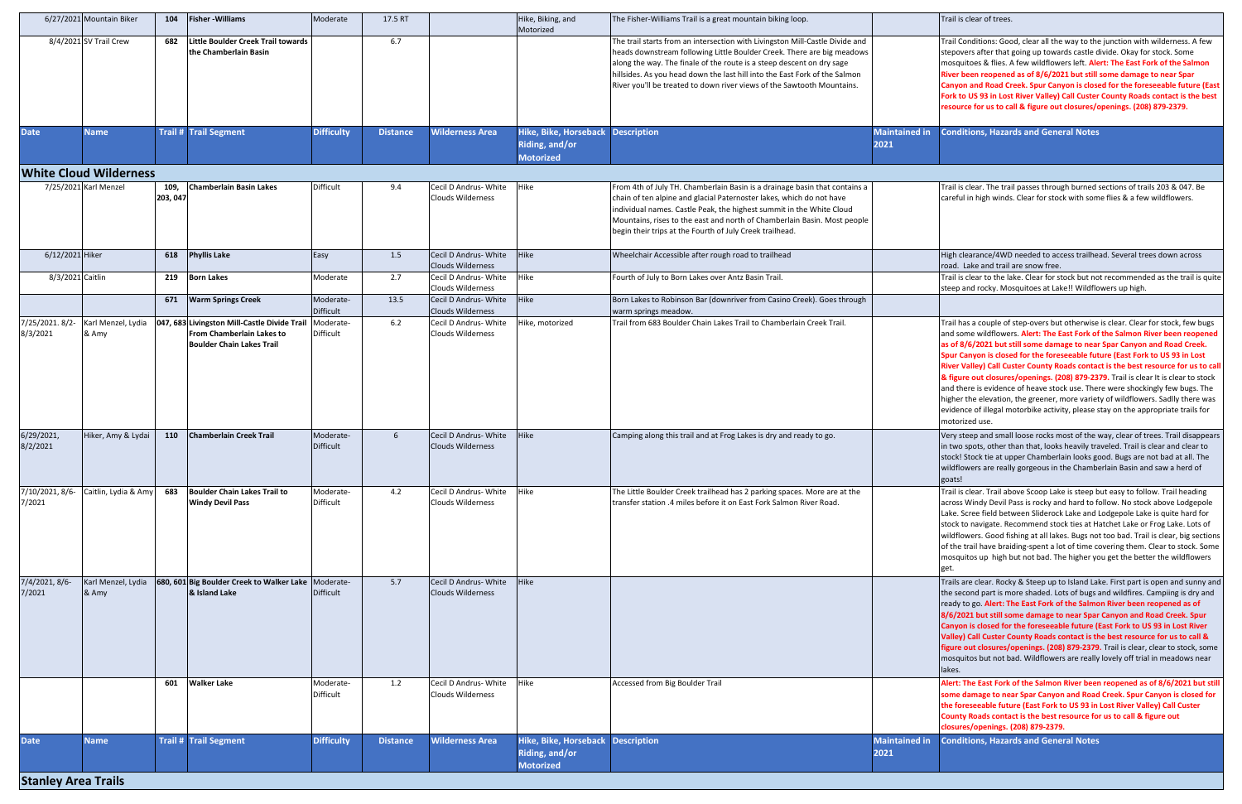|                            | 6/27/2021 Mountain Biker                               | 104      | <b>Fisher-Williams</b>                                                                                        | Moderate                      | 17.5 RT         |                                                   | Hike, Biking, and<br>Motorized                                     | The Fisher-Williams Trail is a great mountain biking loop.                                                                                                                                                                                                                                                                                                                              |                              | Trail is clear of trees.                                                                                                                                                                                                                                                                                                                                                                                                                                                                                                                                                                                                                                                                                                                                                                |
|----------------------------|--------------------------------------------------------|----------|---------------------------------------------------------------------------------------------------------------|-------------------------------|-----------------|---------------------------------------------------|--------------------------------------------------------------------|-----------------------------------------------------------------------------------------------------------------------------------------------------------------------------------------------------------------------------------------------------------------------------------------------------------------------------------------------------------------------------------------|------------------------------|-----------------------------------------------------------------------------------------------------------------------------------------------------------------------------------------------------------------------------------------------------------------------------------------------------------------------------------------------------------------------------------------------------------------------------------------------------------------------------------------------------------------------------------------------------------------------------------------------------------------------------------------------------------------------------------------------------------------------------------------------------------------------------------------|
|                            | 8/4/2021 SV Trail Crew                                 | 682      | Little Boulder Creek Trail towards<br>the Chamberlain Basin                                                   |                               | 6.7             |                                                   |                                                                    | The trail starts from an intersection with Livingston Mill-Castle Divide and<br>heads downstream following Little Boulder Creek. There are big meadows<br>along the way. The finale of the route is a steep descent on dry sage<br>hillsides. As you head down the last hill into the East Fork of the Salmon<br>River you'll be treated to down river views of the Sawtooth Mountains. |                              | Trail Conditions: Good, clear all the way to the junction with wilderness. A few<br>stepovers after that going up towards castle divide. Okay for stock. Some<br>mosquitoes & flies. A few wildflowers left. Alert: The East Fork of the Salmon<br>River been reopened as of 8/6/2021 but still some damage to near Spar<br>Canyon and Road Creek. Spur Canyon is closed for the foreseeable future (East<br>Fork to US 93 in Lost River Valley) Call Custer County Roads contact is the best<br>resource for us to call & figure out closures/openings. (208) 879-2379.                                                                                                                                                                                                                |
| <b>Date</b>                | <b>Name</b>                                            |          | <b>Trail # Trail Segment</b>                                                                                  | <b>Difficulty</b>             | <b>Distance</b> | <b>Wilderness Area</b>                            | Hike, Bike, Horseback Description<br>Riding, and/or                |                                                                                                                                                                                                                                                                                                                                                                                         | <b>Maintained in</b><br>2021 | <b>Conditions, Hazards and General Notes</b>                                                                                                                                                                                                                                                                                                                                                                                                                                                                                                                                                                                                                                                                                                                                            |
|                            |                                                        |          |                                                                                                               |                               |                 |                                                   | <b>Motorized</b>                                                   |                                                                                                                                                                                                                                                                                                                                                                                         |                              |                                                                                                                                                                                                                                                                                                                                                                                                                                                                                                                                                                                                                                                                                                                                                                                         |
|                            | <b>White Cloud Wilderness</b><br>7/25/2021 Karl Menzel | 109,     | Chamberlain Basin Lakes                                                                                       | <b>Difficult</b>              | 9.4             | Cecil D Andrus- White                             | <b>Hike</b>                                                        | From 4th of July TH. Chamberlain Basin is a drainage basin that contains a                                                                                                                                                                                                                                                                                                              |                              | Trail is clear. The trail passes through burned sections of trails 203 & 047. Be                                                                                                                                                                                                                                                                                                                                                                                                                                                                                                                                                                                                                                                                                                        |
|                            |                                                        | 203, 047 |                                                                                                               |                               |                 | <b>Clouds Wilderness</b>                          |                                                                    | chain of ten alpine and glacial Paternoster lakes, which do not have<br>individual names. Castle Peak, the highest summit in the White Cloud<br>Mountains, rises to the east and north of Chamberlain Basin. Most people<br>begin their trips at the Fourth of July Creek trailhead.                                                                                                    |                              | careful in high winds. Clear for stock with some flies & a few wildflowers.                                                                                                                                                                                                                                                                                                                                                                                                                                                                                                                                                                                                                                                                                                             |
| 6/12/2021 Hiker            |                                                        |          | 618 Phyllis Lake                                                                                              | Easy                          | 1.5             | Cecil D Andrus- White<br><b>Clouds Wilderness</b> | <b>Hike</b>                                                        | Wheelchair Accessible after rough road to trailhead                                                                                                                                                                                                                                                                                                                                     |                              | High clearance/4WD needed to access trailhead. Several trees down across<br>road. Lake and trail are snow free.                                                                                                                                                                                                                                                                                                                                                                                                                                                                                                                                                                                                                                                                         |
| 8/3/2021 Caitlin           |                                                        | 219      | <b>Born Lakes</b>                                                                                             | Moderate                      | 2.7             | Cecil D Andrus- White<br><b>Clouds Wilderness</b> | Hike                                                               | Fourth of July to Born Lakes over Antz Basin Trail.                                                                                                                                                                                                                                                                                                                                     |                              | Trail is clear to the lake. Clear for stock but not recommended as the trail is quite<br>steep and rocky. Mosquitoes at Lake!! Wildflowers up high.                                                                                                                                                                                                                                                                                                                                                                                                                                                                                                                                                                                                                                     |
|                            |                                                        | 671      | <b>Warm Springs Creek</b>                                                                                     | Moderate-<br><b>Difficult</b> | 13.5            | Cecil D Andrus- White<br><b>Clouds Wilderness</b> | <b>Hike</b>                                                        | Born Lakes to Robinson Bar (downriver from Casino Creek). Goes through<br>warm springs meadow.                                                                                                                                                                                                                                                                                          |                              |                                                                                                                                                                                                                                                                                                                                                                                                                                                                                                                                                                                                                                                                                                                                                                                         |
| 7/25/2021.8/2-<br>8/3/2021 | Karl Menzel, Lydia<br>& Amy                            |          | 047, 683 Livingston Mill-Castle Divide Trail<br>From Chamberlain Lakes to<br><b>Boulder Chain Lakes Trail</b> | Moderate-<br>Difficult        | 6.2             | Cecil D Andrus- White<br><b>Clouds Wilderness</b> | like, motorized                                                    | Trail from 683 Boulder Chain Lakes Trail to Chamberlain Creek Trail.                                                                                                                                                                                                                                                                                                                    |                              | Trail has a couple of step-overs but otherwise is clear. Clear for stock, few bugs<br>and some wildflowers. Alert: The East Fork of the Salmon River been reopened<br>as of 8/6/2021 but still some damage to near Spar Canyon and Road Creek.<br>Spur Canyon is closed for the foreseeable future (East Fork to US 93 in Lost<br>River Valley) Call Custer County Roads contact is the best resource for us to call<br>& figure out closures/openings. (208) 879-2379. Trail is clear It is clear to stock<br>and there is evidence of heave stock use. There were shockingly few bugs. The<br>higher the elevation, the greener, more variety of wildflowers. Sadlly there was<br>evidence of illegal motorbike activity, please stay on the appropriate trails for<br>motorized use. |
| 6/29/2021,<br>8/2/2021     | Hiker, Amy & Lydai                                     | 110      | <b>Chamberlain Creek Trail</b>                                                                                | Moderate-<br><b>Difficult</b> | 6               | Cecil D Andrus- White<br><b>Clouds Wilderness</b> | Hike                                                               | Camping along this trail and at Frog Lakes is dry and ready to go.                                                                                                                                                                                                                                                                                                                      |                              | Very steep and small loose rocks most of the way, clear of trees. Trail disappears<br>in two spots, other than that, looks heavily traveled. Trail is clear and clear to<br>stock! Stock tie at upper Chamberlain looks good. Bugs are not bad at all. The<br>wildflowers are really gorgeous in the Chamberlain Basin and saw a herd of<br>goats!                                                                                                                                                                                                                                                                                                                                                                                                                                      |
| 7/2021                     | 7/10/2021, 8/6- Caitlin, Lydia & Amy                   | 683      | Boulder Chain Lakes Trail to<br><b>Windy Devil Pass</b>                                                       | Moderate-<br>Difficult        | 4.2             | Cecil D Andrus- White<br><b>Clouds Wilderness</b> | <b>Hike</b>                                                        | The Little Boulder Creek trailhead has 2 parking spaces. More are at the<br>transfer station .4 miles before it on East Fork Salmon River Road.                                                                                                                                                                                                                                         |                              | Trail is clear. Trail above Scoop Lake is steep but easy to follow. Trail heading<br>across Windy Devil Pass is rocky and hard to follow. No stock above Lodgepole<br>Lake. Scree field between Sliderock Lake and Lodgepole Lake is quite hard for<br>stock to navigate. Recommend stock ties at Hatchet Lake or Frog Lake. Lots of<br>wildflowers. Good fishing at all lakes. Bugs not too bad. Trail is clear, big sections<br>of the trail have braiding-spent a lot of time covering them. Clear to stock. Some<br>mosquitos up high but not bad. The higher you get the better the wildflowers                                                                                                                                                                                    |
| 7/4/2021, 8/6-<br>7/2021   | Karl Menzel, Lydia<br>& Amy                            |          | 680, 601 Big Boulder Creek to Walker Lake Moderate-<br>& Island Lake                                          | <b>Difficult</b>              | 5.7             | Cecil D Andrus- White<br><b>Clouds Wilderness</b> | <b>Hike</b>                                                        |                                                                                                                                                                                                                                                                                                                                                                                         |                              | Trails are clear. Rocky & Steep up to Island Lake. First part is open and sunny and<br>the second part is more shaded. Lots of bugs and wildfires. Campiing is dry and<br>ready to go. Alert: The East Fork of the Salmon River been reopened as of<br>8/6/2021 but still some damage to near Spar Canyon and Road Creek. Spur<br>Canyon is closed for the foreseeable future (East Fork to US 93 in Lost River<br>Valley) Call Custer County Roads contact is the best resource for us to call &<br>figure out closures/openings. (208) 879-2379. Trail is clear, clear to stock, some<br>mosquitos but not bad. Wildflowers are really lovely off trial in meadows near<br>lakes.                                                                                                     |
|                            |                                                        | 601      | <b>Walker Lake</b>                                                                                            | Moderate-<br>Difficult        | 1.2             | Cecil D Andrus- White<br><b>Clouds Wilderness</b> | Hike                                                               | Accessed from Big Boulder Trail                                                                                                                                                                                                                                                                                                                                                         |                              | Alert: The East Fork of the Salmon River been reopened as of 8/6/2021 but still<br>some damage to near Spar Canyon and Road Creek. Spur Canyon is closed for<br>the foreseeable future (East Fork to US 93 in Lost River Valley) Call Custer<br>County Roads contact is the best resource for us to call & figure out<br>closures/openings. (208) 879-2379.                                                                                                                                                                                                                                                                                                                                                                                                                             |
| <b>Date</b>                | Name                                                   |          | <b>Trail # Trail Segment</b>                                                                                  | <b>Difficulty</b>             | <b>Distance</b> | <b>Nilderness Area</b>                            | <b>Hike, Bike, Horseback</b><br>Riding, and/or<br><b>Motorized</b> | <b>Description</b>                                                                                                                                                                                                                                                                                                                                                                      | <b>Maintained in</b><br>2021 | <b>Conditions, Hazards and General Notes</b>                                                                                                                                                                                                                                                                                                                                                                                                                                                                                                                                                                                                                                                                                                                                            |
| Stapley Area Trails        |                                                        |          |                                                                                                               |                               |                 |                                                   |                                                                    |                                                                                                                                                                                                                                                                                                                                                                                         |                              |                                                                                                                                                                                                                                                                                                                                                                                                                                                                                                                                                                                                                                                                                                                                                                                         |

|       | Trail is clear of trees.                                                                                                                                                                                                                                                                                                                                                                                                                                                                                                                                                                                                                                                                                                                                                                                                                                                                                                                                                                                     |
|-------|--------------------------------------------------------------------------------------------------------------------------------------------------------------------------------------------------------------------------------------------------------------------------------------------------------------------------------------------------------------------------------------------------------------------------------------------------------------------------------------------------------------------------------------------------------------------------------------------------------------------------------------------------------------------------------------------------------------------------------------------------------------------------------------------------------------------------------------------------------------------------------------------------------------------------------------------------------------------------------------------------------------|
|       | Trail Conditions: Good, clear all the way to the junction with wilderness. A few<br>stepovers after that going up towards castle divide. Okay for stock. Some<br>mosquitoes & flies. A few wildflowers left. Alert: The East Fork of the Salmon<br>River been reopened as of 8/6/2021 but still some damage to near Spar<br>Canyon and Road Creek. Spur Canyon is closed for the foreseeable future (East<br>Fork to US 93 in Lost River Valley) Call Custer County Roads contact is the best<br>resource for us to call & figure out closures/openings. (208) 879-2379.                                                                                                                                                                                                                                                                                                                                                                                                                                     |
| ed in | <b>Conditions, Hazards and General Notes</b>                                                                                                                                                                                                                                                                                                                                                                                                                                                                                                                                                                                                                                                                                                                                                                                                                                                                                                                                                                 |
|       |                                                                                                                                                                                                                                                                                                                                                                                                                                                                                                                                                                                                                                                                                                                                                                                                                                                                                                                                                                                                              |
|       | Trail is clear. The trail passes through burned sections of trails 203 & 047. Be<br>careful in high winds. Clear for stock with some flies & a few wildflowers.                                                                                                                                                                                                                                                                                                                                                                                                                                                                                                                                                                                                                                                                                                                                                                                                                                              |
|       | High clearance/4WD needed to access trailhead. Several trees down across<br>road. Lake and trail are snow free.                                                                                                                                                                                                                                                                                                                                                                                                                                                                                                                                                                                                                                                                                                                                                                                                                                                                                              |
|       | Trail is clear to the lake. Clear for stock but not recommended as the trail is quite<br>steep and rocky. Mosquitoes at Lake!! Wildflowers up high.                                                                                                                                                                                                                                                                                                                                                                                                                                                                                                                                                                                                                                                                                                                                                                                                                                                          |
|       |                                                                                                                                                                                                                                                                                                                                                                                                                                                                                                                                                                                                                                                                                                                                                                                                                                                                                                                                                                                                              |
|       | Trail has a couple of step-overs but otherwise is clear. Clear for stock, few bugs<br>and some wildflowers. Alert: The East Fork of the Salmon River been reopened<br>as of 8/6/2021 but still some damage to near Spar Canyon and Road Creek.<br>Spur Canyon is closed for the foreseeable future (East Fork to US 93 in Lost<br>River Valley) Call Custer County Roads contact is the best resource for us to call<br>& figure out closures/openings. (208) 879-2379. Trail is clear It is clear to stock<br>and there is evidence of heave stock use. There were shockingly few bugs. The<br>higher the elevation, the greener, more variety of wildflowers. Sadlly there was<br>evidence of illegal motorbike activity, please stay on the appropriate trails for<br>motorized use.                                                                                                                                                                                                                      |
|       | Very steep and small loose rocks most of the way, clear of trees. Trail disappears<br>in two spots, other than that, looks heavily traveled. Trail is clear and clear to<br>stock! Stock tie at upper Chamberlain looks good. Bugs are not bad at all. The<br>wildflowers are really gorgeous in the Chamberlain Basin and saw a herd of<br>goats!                                                                                                                                                                                                                                                                                                                                                                                                                                                                                                                                                                                                                                                           |
|       | Trail is clear. Trail above Scoop Lake is steep but easy to follow. Trail heading<br>across Windy Devil Pass is rocky and hard to follow. No stock above Lodgepole<br>Lake. Scree field between Sliderock Lake and Lodgepole Lake is quite hard for<br>stock to navigate. Recommend stock ties at Hatchet Lake or Frog Lake. Lots of<br>wildflowers. Good fishing at all lakes. Bugs not too bad. Trail is clear, big sections<br>of the trail have braiding-spent a lot of time covering them. Clear to stock. Some<br>mosquitos up high but not bad. The higher you get the better the wildflowers<br>get.                                                                                                                                                                                                                                                                                                                                                                                                 |
|       | Trails are clear. Rocky & Steep up to Island Lake. First part is open and sunny and<br>the second part is more shaded. Lots of bugs and wildfires. Campiing is dry and<br>ready to go. Alert: The East Fork of the Salmon River been reopened as of<br>8/6/2021 but still some damage to near Spar Canyon and Road Creek. Spur<br>Canyon is closed for the foreseeable future (East Fork to US 93 in Lost River<br>Valley) Call Custer County Roads contact is the best resource for us to call &<br>figure out closures/openings. (208) 879-2379. Trail is clear, clear to stock, some<br>mosquitos but not bad. Wildflowers are really lovely off trial in meadows near<br>lakes.<br>Alert: The East Fork of the Salmon River been reopened as of 8/6/2021 but still<br>some damage to near Spar Canyon and Road Creek. Spur Canyon is closed for<br>the foreseeable future (East Fork to US 93 in Lost River Valley) Call Custer<br>County Roads contact is the best resource for us to call & figure out |
| ed in | closures/openings. (208) 879-2379.<br><b>Conditions, Hazards and General Notes</b>                                                                                                                                                                                                                                                                                                                                                                                                                                                                                                                                                                                                                                                                                                                                                                                                                                                                                                                           |
|       |                                                                                                                                                                                                                                                                                                                                                                                                                                                                                                                                                                                                                                                                                                                                                                                                                                                                                                                                                                                                              |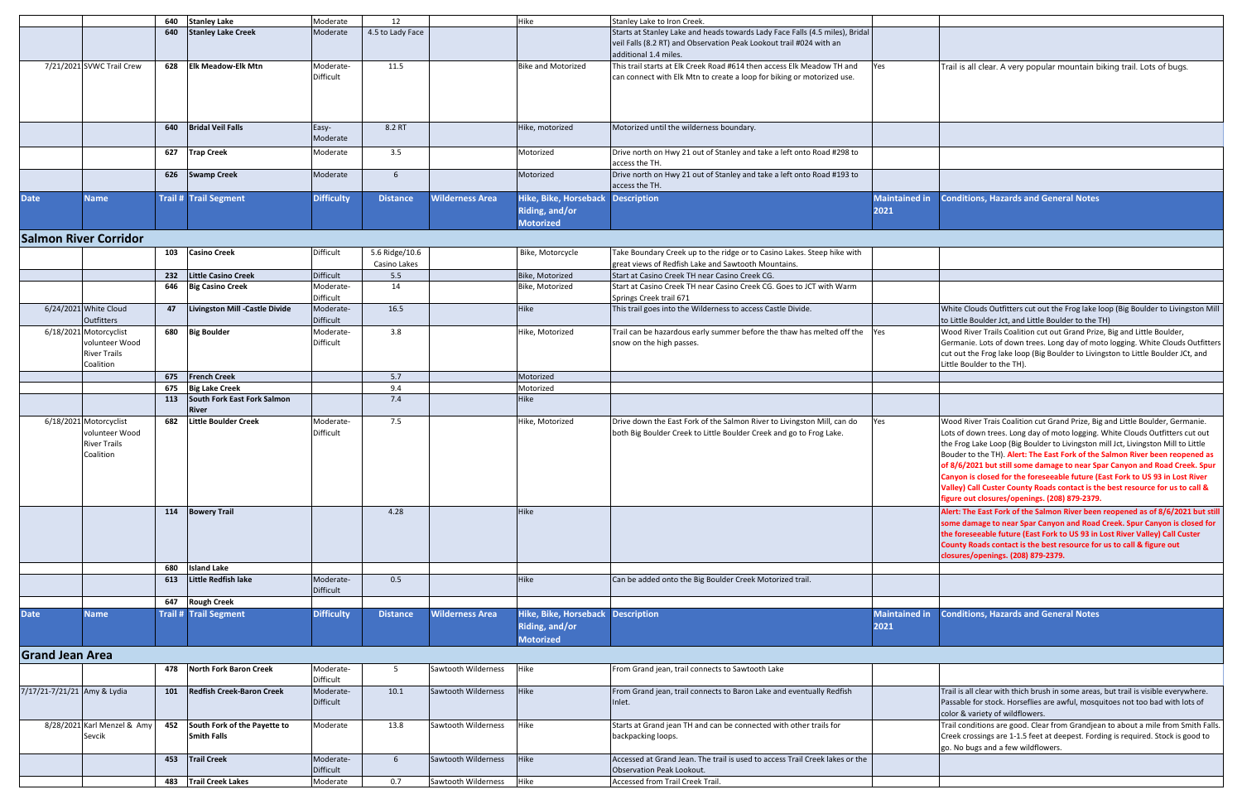| Yes                          | Trail is all clear. A very popular mountain biking trail. Lots of bugs.                                                                                                                                                                                                                                                                                                                                                                                                                                                                                                                                                               |
|------------------------------|---------------------------------------------------------------------------------------------------------------------------------------------------------------------------------------------------------------------------------------------------------------------------------------------------------------------------------------------------------------------------------------------------------------------------------------------------------------------------------------------------------------------------------------------------------------------------------------------------------------------------------------|
|                              |                                                                                                                                                                                                                                                                                                                                                                                                                                                                                                                                                                                                                                       |
|                              |                                                                                                                                                                                                                                                                                                                                                                                                                                                                                                                                                                                                                                       |
| <b>Maintained in</b><br>2021 | <b>Conditions, Hazards and General Notes</b>                                                                                                                                                                                                                                                                                                                                                                                                                                                                                                                                                                                          |
|                              |                                                                                                                                                                                                                                                                                                                                                                                                                                                                                                                                                                                                                                       |
|                              |                                                                                                                                                                                                                                                                                                                                                                                                                                                                                                                                                                                                                                       |
|                              |                                                                                                                                                                                                                                                                                                                                                                                                                                                                                                                                                                                                                                       |
|                              | White Clouds Outfitters cut out the Frog lake loop (Big Boulder to Livingston Mill<br>to Little Boulder Jct, and Little Boulder to the TH)                                                                                                                                                                                                                                                                                                                                                                                                                                                                                            |
| Yes                          | Wood River Trails Coalition cut out Grand Prize, Big and Little Boulder,<br>Germanie. Lots of down trees. Long day of moto logging. White Clouds Outfitters<br>cut out the Frog lake loop (Big Boulder to Livingston to Little Boulder JCt, and<br>Little Boulder to the TH).                                                                                                                                                                                                                                                                                                                                                         |
|                              |                                                                                                                                                                                                                                                                                                                                                                                                                                                                                                                                                                                                                                       |
|                              |                                                                                                                                                                                                                                                                                                                                                                                                                                                                                                                                                                                                                                       |
| Yes                          | Wood River Trais Coalition cut Grand Prize, Big and Little Boulder, Germanie.<br>Lots of down trees. Long day of moto logging. White Clouds Outfitters cut out<br>the Frog Lake Loop (Big Boulder to Livingston mill Jct, Livingston Mill to Little<br>Bouder to the TH). Alert: The East Fork of the Salmon River been reopened as<br>of 8/6/2021 but still some damage to near Spar Canyon and Road Creek. Spur<br>Canyon is closed for the foreseeable future (East Fork to US 93 in Lost River<br>Valley) Call Custer County Roads contact is the best resource for us to call &<br>figure out closures/openings. (208) 879-2379. |
|                              | Alert: The East Fork of the Salmon River been reopened as of 8/6/2021 but still<br>some damage to near Spar Canyon and Road Creek. Spur Canyon is closed for<br>the foreseeable future (East Fork to US 93 in Lost River Valley) Call Custer<br>County Roads contact is the best resource for us to call & figure out<br>closures/openings. (208) 879-2379.                                                                                                                                                                                                                                                                           |
|                              |                                                                                                                                                                                                                                                                                                                                                                                                                                                                                                                                                                                                                                       |
| <b>Maintained in</b><br>2021 | <b>Conditions, Hazards and General Notes</b>                                                                                                                                                                                                                                                                                                                                                                                                                                                                                                                                                                                          |
|                              |                                                                                                                                                                                                                                                                                                                                                                                                                                                                                                                                                                                                                                       |
|                              | Trail is all clear with thich brush in some areas, but trail is visible everywhere.<br>Passable for stock. Horseflies are awful, mosquitoes not too bad with lots of<br>color & variety of wildflowers.                                                                                                                                                                                                                                                                                                                                                                                                                               |
|                              | Trail conditions are good. Clear from Grandjean to about a mile from Smith Falls.<br>Creek crossings are 1-1.5 feet at deepest. Fording is required. Stock is good to<br>go. No bugs and a few wildflowers.                                                                                                                                                                                                                                                                                                                                                                                                                           |
|                              |                                                                                                                                                                                                                                                                                                                                                                                                                                                                                                                                                                                                                                       |
|                              |                                                                                                                                                                                                                                                                                                                                                                                                                                                                                                                                                                                                                                       |

|                             |                                                                              | 640 | <b>Stanley Lake</b>                                | Moderate                      | 12                             |                        | Hike                                                               | Stanley Lake to Iron Creek                                                                                                                                                   |                              |                                                                                                                                                                                                                                                                                                                                                                                                                                                                                                                                                                                                                                       |
|-----------------------------|------------------------------------------------------------------------------|-----|----------------------------------------------------|-------------------------------|--------------------------------|------------------------|--------------------------------------------------------------------|------------------------------------------------------------------------------------------------------------------------------------------------------------------------------|------------------------------|---------------------------------------------------------------------------------------------------------------------------------------------------------------------------------------------------------------------------------------------------------------------------------------------------------------------------------------------------------------------------------------------------------------------------------------------------------------------------------------------------------------------------------------------------------------------------------------------------------------------------------------|
|                             |                                                                              | 640 | <b>Stanley Lake Creek</b>                          | Moderate                      | 4.5 to Lady Face               |                        |                                                                    | Starts at Stanley Lake and heads towards Lady Face Falls (4.5 miles), Bridal<br>veil Falls (8.2 RT) and Observation Peak Lookout trail #024 with an<br>additional 1.4 miles. |                              |                                                                                                                                                                                                                                                                                                                                                                                                                                                                                                                                                                                                                                       |
|                             | 7/21/2021 SVWC Trail Crew                                                    | 628 | <b>Elk Meadow-Elk Mtn</b>                          | Moderate-<br><b>Difficult</b> | 11.5                           |                        | <b>Bike and Motorized</b>                                          | This trail starts at Elk Creek Road #614 then access Elk Meadow TH and<br>can connect with Elk Mtn to create a loop for biking or motorized use.                             | Yes                          | Trail is all clear. A very popular mountain biking trail. Lots of bugs.                                                                                                                                                                                                                                                                                                                                                                                                                                                                                                                                                               |
|                             |                                                                              | 640 | <b>Bridal Veil Falls</b>                           | Easy-<br>Moderate             | 8.2 RT                         |                        | Hike, motorized                                                    | Motorized until the wilderness boundary.                                                                                                                                     |                              |                                                                                                                                                                                                                                                                                                                                                                                                                                                                                                                                                                                                                                       |
|                             |                                                                              | 627 | <b>Trap Creek</b>                                  | Moderate                      | 3.5                            |                        | Motorized                                                          | Drive north on Hwy 21 out of Stanley and take a left onto Road #298 to<br>access the TH.                                                                                     |                              |                                                                                                                                                                                                                                                                                                                                                                                                                                                                                                                                                                                                                                       |
|                             |                                                                              |     | 626 Swamp Creek                                    | Moderate                      | 6                              |                        | Motorized                                                          | Drive north on Hwy 21 out of Stanley and take a left onto Road #193 to<br>access the TH.                                                                                     |                              |                                                                                                                                                                                                                                                                                                                                                                                                                                                                                                                                                                                                                                       |
| <b>Date</b>                 | <b>Name</b>                                                                  |     | <b>Trail # Trail Segment</b>                       | <b>Difficulty</b>             | <b>Distance</b>                | <b>Wilderness Area</b> | <b>Hike, Bike, Horseback</b><br>Riding, and/or<br><b>Motorized</b> | <b>Description</b>                                                                                                                                                           | <b>Maintained in</b><br>2021 | <b>Conditions, Hazards and General Notes</b>                                                                                                                                                                                                                                                                                                                                                                                                                                                                                                                                                                                          |
|                             | <b>Salmon River Corridor</b>                                                 |     |                                                    |                               |                                |                        |                                                                    |                                                                                                                                                                              |                              |                                                                                                                                                                                                                                                                                                                                                                                                                                                                                                                                                                                                                                       |
|                             |                                                                              | 103 | <b>Casino Creek</b>                                | Difficult                     | 5.6 Ridge/10.6<br>Casino Lakes |                        | Bike, Motorcycle                                                   | Take Boundary Creek up to the ridge or to Casino Lakes. Steep hike with<br>great views of Redfish Lake and Sawtooth Mountains.                                               |                              |                                                                                                                                                                                                                                                                                                                                                                                                                                                                                                                                                                                                                                       |
|                             |                                                                              | 232 | <b>Little Casino Creek</b>                         | <b>Difficult</b>              | 5.5                            |                        | Bike, Motorized                                                    | Start at Casino Creek TH near Casino Creek CG.                                                                                                                               |                              |                                                                                                                                                                                                                                                                                                                                                                                                                                                                                                                                                                                                                                       |
|                             |                                                                              | 646 | <b>Big Casino Creek</b>                            | Moderate-<br>Difficult        | 14                             |                        | Bike, Motorized                                                    | Start at Casino Creek TH near Casino Creek CG. Goes to JCT with Warm<br>Springs Creek trail 671                                                                              |                              |                                                                                                                                                                                                                                                                                                                                                                                                                                                                                                                                                                                                                                       |
|                             | 6/24/2021 White Cloud<br>Outfitters                                          | 47  | <b>Livingston Mill -Castle Divide</b>              | Moderate-<br>Difficult        | 16.5                           |                        | Hike                                                               | This trail goes into the Wilderness to access Castle Divide.                                                                                                                 |                              | White Clouds Outfitters cut out the Frog lake loop (Big Boulder to Livingston Mill<br>to Little Boulder Jct, and Little Boulder to the TH)                                                                                                                                                                                                                                                                                                                                                                                                                                                                                            |
|                             | 6/18/2021 Motorcyclist<br>volunteer Wood<br><b>River Trails</b><br>Coalition | 680 | <b>Big Boulder</b>                                 | Moderate-<br>Difficult        | 3.8                            |                        | Hike, Motorized                                                    | Trail can be hazardous early summer before the thaw has melted off the $\left  \text{Yes} \right $<br>snow on the high passes.                                               |                              | Wood River Trails Coalition cut out Grand Prize, Big and Little Boulder,<br>Germanie. Lots of down trees. Long day of moto logging. White Clouds Outfitters<br>cut out the Frog lake loop (Big Boulder to Livingston to Little Boulder JCt, and<br>Little Boulder to the TH).                                                                                                                                                                                                                                                                                                                                                         |
|                             |                                                                              | 675 | <b>French Creek</b>                                |                               | 5.7                            |                        | Motorized                                                          |                                                                                                                                                                              |                              |                                                                                                                                                                                                                                                                                                                                                                                                                                                                                                                                                                                                                                       |
|                             |                                                                              | 675 | <b>Big Lake Creek</b>                              |                               | 9.4                            |                        | Motorized                                                          |                                                                                                                                                                              |                              |                                                                                                                                                                                                                                                                                                                                                                                                                                                                                                                                                                                                                                       |
|                             |                                                                              | 113 | South Fork East Fork Salmon<br><b>River</b>        |                               | 7.4                            |                        | <b>Hike</b>                                                        |                                                                                                                                                                              |                              |                                                                                                                                                                                                                                                                                                                                                                                                                                                                                                                                                                                                                                       |
| 6/18/2021 Motorcyclist      | volunteer Wood<br><b>River Trails</b><br>Coalition                           | 682 | <b>Little Boulder Creek</b>                        | Moderate-<br>Difficult        | 7.5                            |                        | Hike, Motorized                                                    | Drive down the East Fork of the Salmon River to Livingston Mill, can do<br>both Big Boulder Creek to Little Boulder Creek and go to Frog Lake.                               | Yes                          | Wood River Trais Coalition cut Grand Prize, Big and Little Boulder, Germanie.<br>Lots of down trees. Long day of moto logging. White Clouds Outfitters cut out<br>the Frog Lake Loop (Big Boulder to Livingston mill Jct, Livingston Mill to Little<br>Bouder to the TH). Alert: The East Fork of the Salmon River been reopened as<br>of 8/6/2021 but still some damage to near Spar Canyon and Road Creek. Spur<br>Canyon is closed for the foreseeable future (East Fork to US 93 in Lost River<br>Valley) Call Custer County Roads contact is the best resource for us to call &<br>figure out closures/openings. (208) 879-2379. |
|                             |                                                                              | 680 | 114 Bowery Trail<br><b>Island Lake</b>             |                               | 4.28                           |                        | <b>Hike</b>                                                        |                                                                                                                                                                              |                              | Alert: The East Fork of the Salmon River been reopened as of 8/6/2021 but still<br>some damage to near Spar Canyon and Road Creek. Spur Canyon is closed for<br>the foreseeable future (East Fork to US 93 in Lost River Valley) Call Custer<br>County Roads contact is the best resource for us to call & figure out<br>closures/openings. (208) 879-2379.                                                                                                                                                                                                                                                                           |
|                             |                                                                              | 613 | Little Redfish lake                                | Moderate-<br><b>Difficult</b> | 0.5                            |                        | Hike                                                               | Can be added onto the Big Boulder Creek Motorized trail.                                                                                                                     |                              |                                                                                                                                                                                                                                                                                                                                                                                                                                                                                                                                                                                                                                       |
|                             |                                                                              | 647 | <b>Rough Creek</b>                                 |                               |                                |                        |                                                                    |                                                                                                                                                                              |                              |                                                                                                                                                                                                                                                                                                                                                                                                                                                                                                                                                                                                                                       |
| <b>Date</b>                 | <b>Name</b>                                                                  |     | <b>Trail # Trail Segment</b>                       | <b>Difficulty</b>             | <b>Distance</b>                | <b>Wilderness Area</b> | <b>Hike, Bike, Horseback</b><br>Riding, and/or<br><b>Motorized</b> | <b>Description</b>                                                                                                                                                           | <b>Maintained in</b><br>2021 | <b>Conditions, Hazards and General Notes</b>                                                                                                                                                                                                                                                                                                                                                                                                                                                                                                                                                                                          |
| <b>Grand Jean Area</b>      |                                                                              |     |                                                    |                               |                                |                        |                                                                    |                                                                                                                                                                              |                              |                                                                                                                                                                                                                                                                                                                                                                                                                                                                                                                                                                                                                                       |
|                             |                                                                              |     | 478 North Fork Baron Creek                         | Moderate-<br>Difficult        | -5                             | Sawtooth Wilderness    | Hike                                                               | From Grand jean, trail connects to Sawtooth Lake                                                                                                                             |                              |                                                                                                                                                                                                                                                                                                                                                                                                                                                                                                                                                                                                                                       |
| 7/17/21-7/21/21 Amy & Lydia |                                                                              | 101 | <b>Redfish Creek-Baron Creek</b>                   | Moderate-<br><b>Difficult</b> | 10.1                           | Sawtooth Wilderness    | <b>Hike</b>                                                        | From Grand jean, trail connects to Baron Lake and eventually Redfish<br>Inlet.                                                                                               |                              | Trail is all clear with thich brush in some areas, but trail is visible everywhere.<br>Passable for stock. Horseflies are awful, mosquitoes not too bad with lots of<br>color & variety of wildflowers.                                                                                                                                                                                                                                                                                                                                                                                                                               |
|                             | 8/28/2021 Karl Menzel & Amy<br>Sevcik                                        | 452 | South Fork of the Payette to<br><b>Smith Falls</b> | Moderate                      | 13.8                           | Sawtooth Wilderness    | <b>Hike</b>                                                        | Starts at Grand jean TH and can be connected with other trails for<br>backpacking loops.                                                                                     |                              | Trail conditions are good. Clear from Grandjean to about a mile from Smith Falls.<br>Creek crossings are 1-1.5 feet at deepest. Fording is required. Stock is good to<br>go. No bugs and a few wildflowers.                                                                                                                                                                                                                                                                                                                                                                                                                           |
|                             |                                                                              | 453 | <b>Trail Creek</b>                                 | Moderate-<br>Difficult        | 6                              | Sawtooth Wilderness    | Hike                                                               | Accessed at Grand Jean. The trail is used to access Trail Creek lakes or the<br>Observation Peak Lookout.                                                                    |                              |                                                                                                                                                                                                                                                                                                                                                                                                                                                                                                                                                                                                                                       |
|                             |                                                                              | 483 | <b>Trail Creek Lakes</b>                           | Moderate                      | 0.7                            | Sawtooth Wilderness    | Hike                                                               | Accessed from Trail Creek Trail.                                                                                                                                             |                              |                                                                                                                                                                                                                                                                                                                                                                                                                                                                                                                                                                                                                                       |